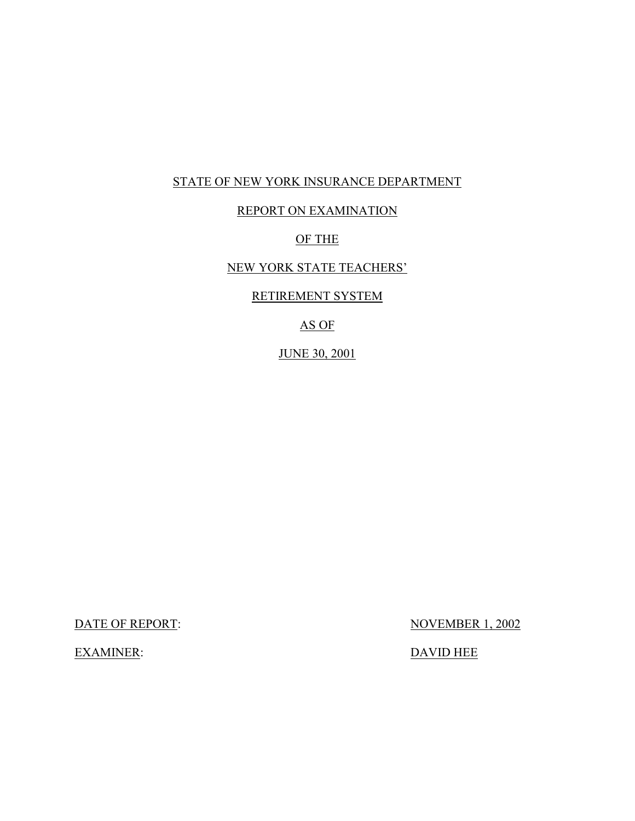## STATE OF NEW YORK INSURANCE DEPARTMENT

## REPORT ON EXAMINATION

## OF THE

## NEW YORK STATE TEACHERS'

## RETIREMENT SYSTEM

## AS OF

## JUNE 30, 2001

DATE OF REPORT: NOVEMBER 1, 2002

EXAMINER: DAVID HEE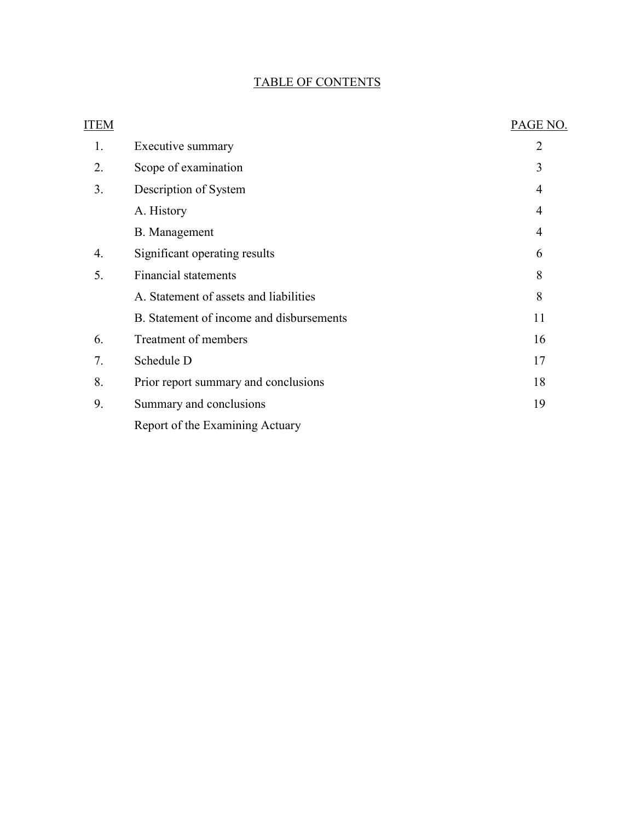## TABLE OF CONTENTS

| <b>ITEM</b> |                                          | PAGE NO.       |
|-------------|------------------------------------------|----------------|
| 1.          | Executive summary                        | $\overline{2}$ |
| 2.          | Scope of examination                     | 3              |
| 3.          | Description of System                    | $\overline{4}$ |
|             | A. History                               | $\overline{4}$ |
|             | B. Management                            | $\overline{4}$ |
| 4.          | Significant operating results            | 6              |
| 5.          | <b>Financial statements</b>              | 8              |
|             | A. Statement of assets and liabilities   | 8              |
|             | B. Statement of income and disbursements | 11             |
| 6.          | Treatment of members                     | 16             |
| 7.          | Schedule D                               | 17             |
| 8.          | Prior report summary and conclusions     | 18             |
| 9.          | Summary and conclusions                  | 19             |
|             | Report of the Examining Actuary          |                |
|             |                                          |                |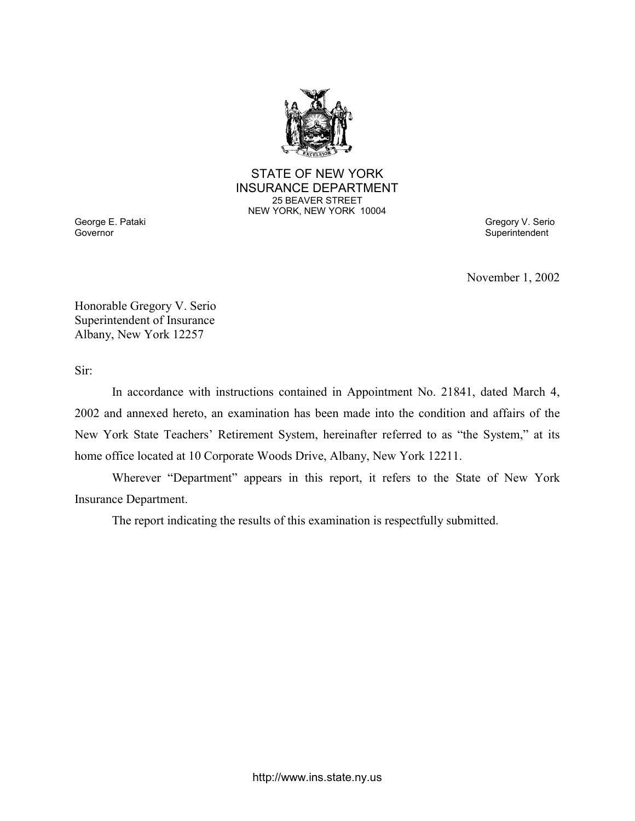

### STATE OF NEW YORK INSURANCE DEPARTMENT 25 BEAVER STREET NEW YORK, NEW YORK 10004

George E. Pataki Gregory V. Serio Controller and the Controller of the Controller Superintendent Gregory V. Serio<br>Governor Superintendent

November 1, 2002

Honorable Gregory V. Serio Superintendent of Insurance Albany, New York 12257

Sir:

In accordance with instructions contained in Appointment No. 21841, dated March 4, 2002 and annexed hereto, an examination has been made into the condition and affairs of the New York State Teachers' Retirement System, hereinafter referred to as "the System," at its home office located at 10 Corporate Woods Drive, Albany, New York 12211.

Wherever "Department" appears in this report, it refers to the State of New York Insurance Department.

The report indicating the results of this examination is respectfully submitted.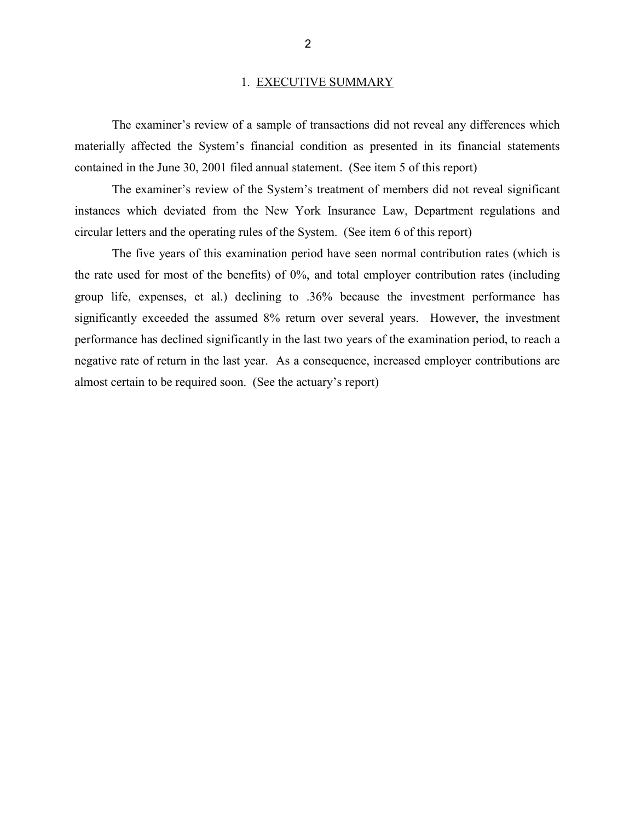#### 1. EXECUTIVE SUMMARY

The examiner's review of a sample of transactions did not reveal any differences which materially affected the System's financial condition as presented in its financial statements contained in the June 30, 2001 filed annual statement. (See item 5 of this report)

The examiner's review of the System's treatment of members did not reveal significant instances which deviated from the New York Insurance Law, Department regulations and circular letters and the operating rules of the System. (See item 6 of this report)

The five years of this examination period have seen normal contribution rates (which is the rate used for most of the benefits) of 0%, and total employer contribution rates (including group life, expenses, et al.) declining to .36% because the investment performance has significantly exceeded the assumed 8% return over several years. However, the investment performance has declined significantly in the last two years of the examination period, to reach a negative rate of return in the last year. As a consequence, increased employer contributions are almost certain to be required soon. (See the actuary's report)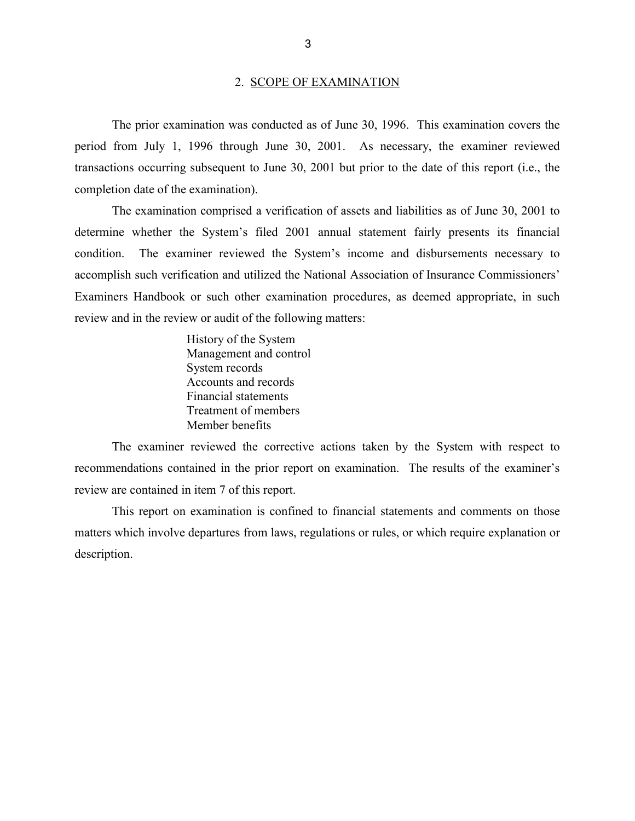#### 2. SCOPE OF EXAMINATION

The prior examination was conducted as of June 30, 1996. This examination covers the period from July 1, 1996 through June 30, 2001. As necessary, the examiner reviewed transactions occurring subsequent to June 30, 2001 but prior to the date of this report (i.e., the completion date of the examination).

The examination comprised a verification of assets and liabilities as of June 30, 2001 to determine whether the System's filed 2001 annual statement fairly presents its financial condition. The examiner reviewed the System's income and disbursements necessary to accomplish such verification and utilized the National Association of Insurance Commissioners' Examiners Handbook or such other examination procedures, as deemed appropriate, in such review and in the review or audit of the following matters:

> History of the System Management and control System records Accounts and records Financial statements Treatment of members Member benefits

The examiner reviewed the corrective actions taken by the System with respect to recommendations contained in the prior report on examination. The results of the examiner's review are contained in item 7 of this report.

This report on examination is confined to financial statements and comments on those matters which involve departures from laws, regulations or rules, or which require explanation or description.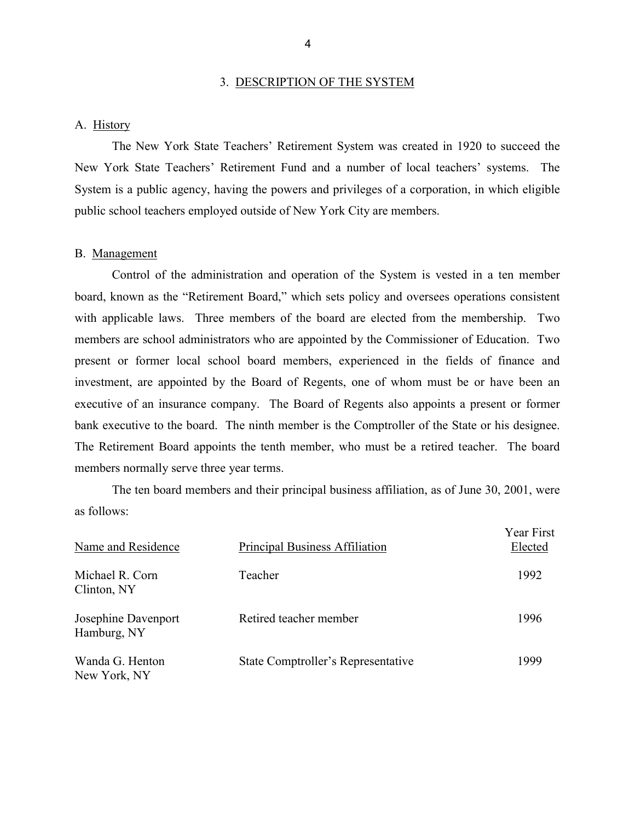#### 3. DESCRIPTION OF THE SYSTEM

#### A. History

The New York State Teachers' Retirement System was created in 1920 to succeed the New York State Teachers' Retirement Fund and a number of local teachers' systems. The System is a public agency, having the powers and privileges of a corporation, in which eligible public school teachers employed outside of New York City are members.

#### B. Management

Control of the administration and operation of the System is vested in a ten member board, known as the "Retirement Board," which sets policy and oversees operations consistent with applicable laws. Three members of the board are elected from the membership. Two members are school administrators who are appointed by the Commissioner of Education. Two present or former local school board members, experienced in the fields of finance and investment, are appointed by the Board of Regents, one of whom must be or have been an executive of an insurance company. The Board of Regents also appoints a present or former bank executive to the board. The ninth member is the Comptroller of the State or his designee. The Retirement Board appoints the tenth member, who must be a retired teacher. The board members normally serve three year terms.

The ten board members and their principal business affiliation, as of June 30, 2001, were as follows:

| Name and Residence                 | Principal Business Affiliation     | <b>Year First</b><br>Elected |
|------------------------------------|------------------------------------|------------------------------|
| Michael R. Corn<br>Clinton, NY     | Teacher                            | 1992                         |
| Josephine Davenport<br>Hamburg, NY | Retired teacher member             | 1996                         |
| Wanda G. Henton<br>New York, NY    | State Comptroller's Representative | 1999                         |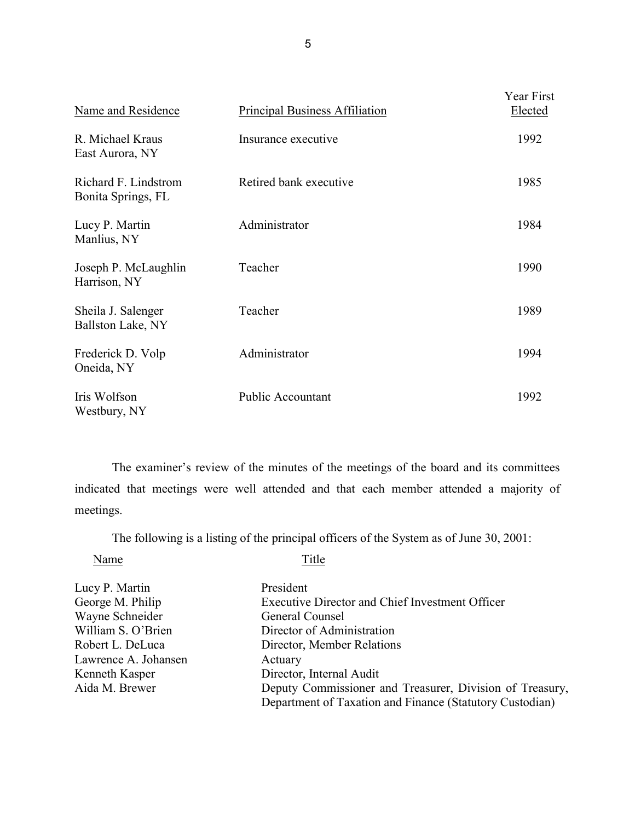| Name and Residence                         | <b>Principal Business Affiliation</b> | Year First<br>Elected |
|--------------------------------------------|---------------------------------------|-----------------------|
| R. Michael Kraus<br>East Aurora, NY        | Insurance executive                   | 1992                  |
| Richard F. Lindstrom<br>Bonita Springs, FL | Retired bank executive                | 1985                  |
| Lucy P. Martin<br>Manlius, NY              | Administrator                         | 1984                  |
| Joseph P. McLaughlin<br>Harrison, NY       | Teacher                               | 1990                  |
| Sheila J. Salenger<br>Ballston Lake, NY    | Teacher                               | 1989                  |
| Frederick D. Volp<br>Oneida, NY            | Administrator                         | 1994                  |
| Iris Wolfson<br>Westbury, NY               | <b>Public Accountant</b>              | 1992                  |

The examiner's review of the minutes of the meetings of the board and its committees indicated that meetings were well attended and that each member attended a majority of meetings.

The following is a listing of the principal officers of the System as of June 30, 2001:

Name Title

| Lucy P. Martin       | President                                                |
|----------------------|----------------------------------------------------------|
| George M. Philip     | <b>Executive Director and Chief Investment Officer</b>   |
| Wayne Schneider      | General Counsel                                          |
| William S. O'Brien   | Director of Administration                               |
| Robert L. DeLuca     | Director, Member Relations                               |
| Lawrence A. Johansen | Actuary                                                  |
| Kenneth Kasper       | Director, Internal Audit                                 |
| Aida M. Brewer       | Deputy Commissioner and Treasurer, Division of Treasury, |
|                      | Department of Taxation and Finance (Statutory Custodian) |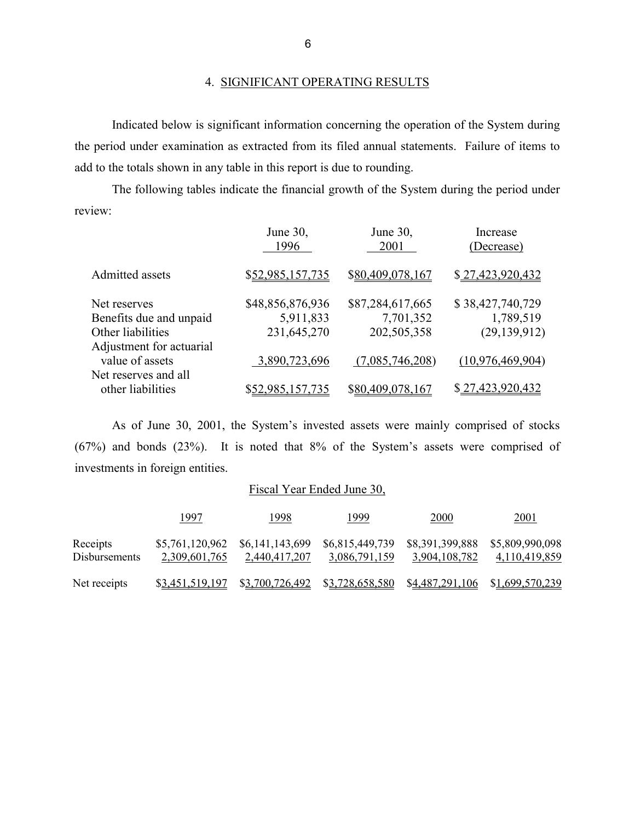Indicated below is significant information concerning the operation of the System during the period under examination as extracted from its filed annual statements. Failure of items to add to the totals shown in any table in this report is due to rounding.

The following tables indicate the financial growth of the System during the period under review:

|                          | June 30,<br>1996        | June 30,<br>2001 | Increase<br>(Decrease) |  |  |
|--------------------------|-------------------------|------------------|------------------------|--|--|
| Admitted assets          | \$52,985,157,735        | \$80,409,078,167 | \$27,423,920,432       |  |  |
| Net reserves             | \$48,856,876,936        | \$87,284,617,665 | \$38,427,740,729       |  |  |
| Benefits due and unpaid  | 5,911,833               | 7,701,352        | 1,789,519              |  |  |
| Other liabilities        | 231,645,270             | 202,505,358      | (29, 139, 912)         |  |  |
| Adjustment for actuarial |                         |                  |                        |  |  |
| value of assets          | 3,890,723,696           | (7,085,746,208)  | (10, 976, 469, 904)    |  |  |
| Net reserves and all     |                         |                  |                        |  |  |
| other liabilities        | <u>\$52,985,157,735</u> | \$80,409,078,167 | \$27,423,920,432       |  |  |
|                          |                         |                  |                        |  |  |

As of June 30, 2001, the System's invested assets were mainly comprised of stocks (67%) and bonds (23%). It is noted that 8% of the System's assets were comprised of investments in foreign entities.

## Fiscal Year Ended June 30,

|                                  | 1997                                               | 1998          | 1999                                                                            | 2000                                             | 2001                             |
|----------------------------------|----------------------------------------------------|---------------|---------------------------------------------------------------------------------|--------------------------------------------------|----------------------------------|
| Receipts<br><b>Disbursements</b> | $$5,761,120,962$ $$6,141,143,699$<br>2,309,601,765 | 2,440,417,207 | 3,086,791,159                                                                   | \$6,815,449,739 \$8,391,399,888<br>3,904,108,782 | \$5,809,990,098<br>4,110,419,859 |
| Net receipts                     |                                                    |               | \$3,451,519,197 \$3,700,726,492 \$3,728,658,580 \$4,487,291,106 \$1,699,570,239 |                                                  |                                  |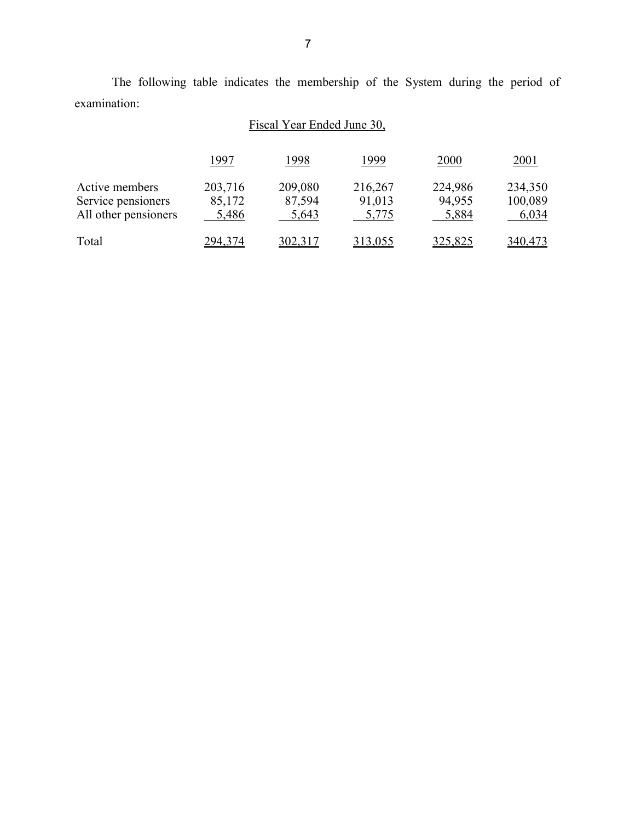The following table indicates the membership of the System during the period of examination:

# Fiscal Year Ended June 30,

|                      | 1997    | 1998           | 1999           | 2000           | 2001    |
|----------------------|---------|----------------|----------------|----------------|---------|
| Active members       | 203,716 | 209,080        | 216,267        | 224,986        | 234,350 |
| Service pensioners   | 85,172  | 87,594         | 91,013         | 94,955         | 100,089 |
| All other pensioners | 5,486   | 5,643          | 5,775          | 5,884          | 6,034   |
| Total                | 294,374 | <u>302,317</u> | <u>313,055</u> | <u>325,825</u> | 340,473 |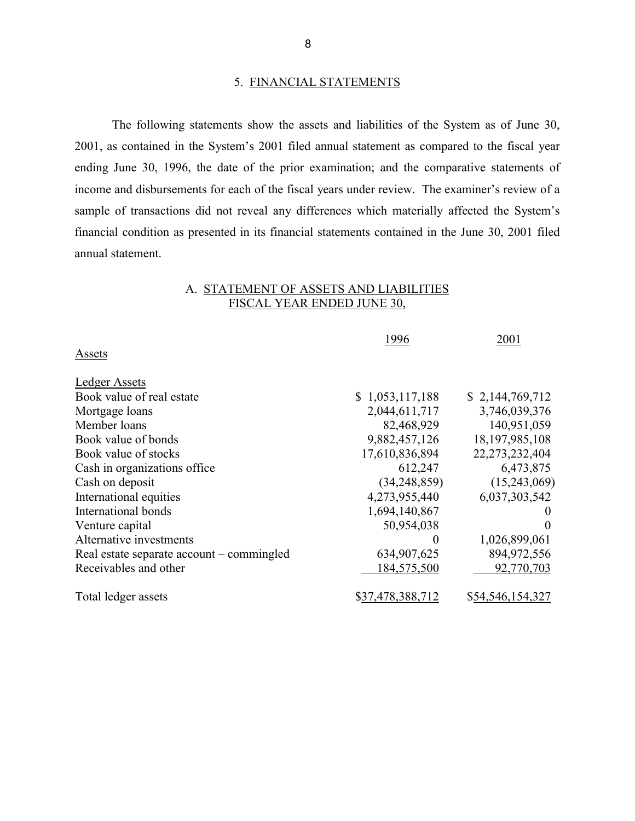#### 5. FINANCIAL STATEMENTS

The following statements show the assets and liabilities of the System as of June 30, 2001, as contained in the System's 2001 filed annual statement as compared to the fiscal year ending June 30, 1996, the date of the prior examination; and the comparative statements of income and disbursements for each of the fiscal years under review. The examiner's review of a sample of transactions did not reveal any differences which materially affected the System's financial condition as presented in its financial statements contained in the June 30, 2001 filed annual statement.

## A. STATEMENT OF ASSETS AND LIABILITIES FISCAL YEAR ENDED JUNE 30,

|                                           | 1996             | 2001              |
|-------------------------------------------|------------------|-------------------|
| Assets                                    |                  |                   |
| <b>Ledger Assets</b>                      |                  |                   |
| Book value of real estate                 | \$1,053,117,188  | \$2,144,769,712   |
| Mortgage loans                            | 2,044,611,717    | 3,746,039,376     |
| Member loans                              | 82,468,929       | 140,951,059       |
| Book value of bonds                       | 9,882,457,126    | 18, 197, 985, 108 |
| Book value of stocks                      | 17,610,836,894   | 22,273,232,404    |
| Cash in organizations office              | 612,247          | 6,473,875         |
| Cash on deposit                           | (34, 248, 859)   | (15,243,069)      |
| International equities                    | 4,273,955,440    | 6,037,303,542     |
| International bonds                       | 1,694,140,867    |                   |
| Venture capital                           | 50,954,038       | $\Omega$          |
| Alternative investments                   | $\theta$         | 1,026,899,061     |
| Real estate separate account – commingled | 634,907,625      | 894,972,556       |
| Receivables and other                     | 184,575,500      | 92,770,703        |
| Total ledger assets                       | \$37,478,388,712 | \$54,546,154,327  |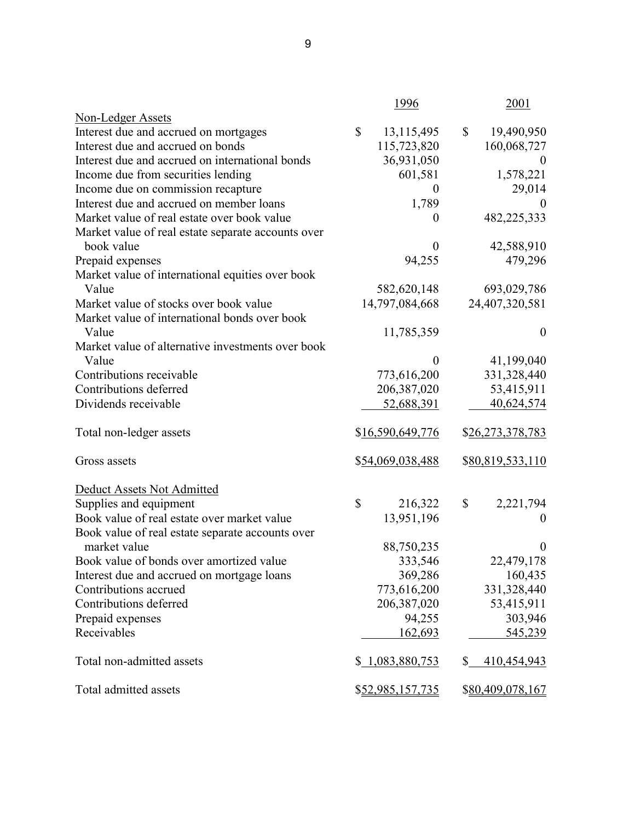|                                                    | 1996             | 2001                        |
|----------------------------------------------------|------------------|-----------------------------|
| <b>Non-Ledger Assets</b>                           |                  |                             |
| Interest due and accrued on mortgages              | \$<br>13,115,495 | 19,490,950<br>\$            |
| Interest due and accrued on bonds                  | 115,723,820      | 160,068,727                 |
| Interest due and accrued on international bonds    | 36,931,050       | $\boldsymbol{0}$            |
| Income due from securities lending                 | 601,581          | 1,578,221                   |
| Income due on commission recapture                 | $\theta$         | 29,014                      |
| Interest due and accrued on member loans           | 1,789            | $\theta$                    |
| Market value of real estate over book value        | $\theta$         | 482,225,333                 |
| Market value of real estate separate accounts over |                  |                             |
| book value                                         | $\overline{0}$   | 42,588,910                  |
| Prepaid expenses                                   | 94,255           | 479,296                     |
| Market value of international equities over book   |                  |                             |
| Value                                              | 582,620,148      | 693,029,786                 |
| Market value of stocks over book value             | 14,797,084,668   | 24,407,320,581              |
| Market value of international bonds over book      |                  |                             |
| Value                                              | 11,785,359       | $\boldsymbol{0}$            |
| Market value of alternative investments over book  |                  |                             |
| Value                                              | $\boldsymbol{0}$ | 41,199,040                  |
| Contributions receivable                           | 773,616,200      | 331,328,440                 |
| Contributions deferred                             | 206,387,020      | 53,415,911                  |
| Dividends receivable                               | 52,688,391       | 40,624,574                  |
|                                                    |                  |                             |
| Total non-ledger assets                            | \$16,590,649,776 | \$26,273,378,783            |
|                                                    |                  |                             |
| Gross assets                                       | \$54,069,038,488 | \$80,819,533,110            |
|                                                    |                  |                             |
| Deduct Assets Not Admitted                         |                  |                             |
| Supplies and equipment                             | \$<br>216,322    | \$<br>2,221,794             |
| Book value of real estate over market value        | 13,951,196       | $\boldsymbol{0}$            |
| Book value of real estate separate accounts over   |                  |                             |
| market value                                       | 88,750,235       | $\boldsymbol{0}$            |
| Book value of bonds over amortized value           | 333,546          | 22,479,178                  |
| Interest due and accrued on mortgage loans         | 369,286          | 160,435                     |
| Contributions accrued                              | 773,616,200      | 331,328,440                 |
| Contributions deferred                             | 206,387,020      | 53,415,911                  |
| Prepaid expenses                                   | 94,255           | 303,946                     |
| Receivables                                        | 162,693          | 545,239                     |
|                                                    |                  |                             |
| Total non-admitted assets                          | \$1,083,880,753  | $\mathbb{S}$<br>410,454,943 |
|                                                    |                  |                             |
| Total admitted assets                              | \$52,985,157,735 | \$80,409,078,167            |
|                                                    |                  |                             |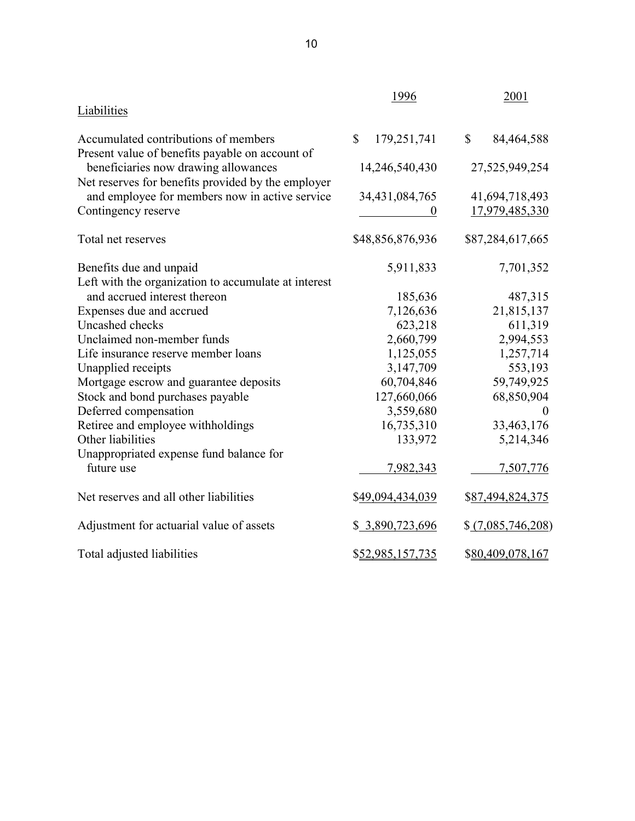|                                                                                         | 1996                        | 2001              |
|-----------------------------------------------------------------------------------------|-----------------------------|-------------------|
| <b>Liabilities</b>                                                                      |                             |                   |
| Accumulated contributions of members                                                    | $\mathbb{S}$<br>179,251,741 | \$<br>84,464,588  |
| Present value of benefits payable on account of<br>beneficiaries now drawing allowances | 14,246,540,430              | 27,525,949,254    |
| Net reserves for benefits provided by the employer                                      |                             |                   |
| and employee for members now in active service                                          | 34,431,084,765              | 41,694,718,493    |
| Contingency reserve                                                                     |                             | 17,979,485,330    |
| Total net reserves                                                                      | \$48,856,876,936            | \$87,284,617,665  |
| Benefits due and unpaid                                                                 | 5,911,833                   | 7,701,352         |
| Left with the organization to accumulate at interest                                    |                             |                   |
| and accrued interest thereon                                                            | 185,636                     | 487,315           |
| Expenses due and accrued                                                                | 7,126,636                   | 21,815,137        |
| Uncashed checks                                                                         | 623,218                     | 611,319           |
| Unclaimed non-member funds                                                              | 2,660,799                   | 2,994,553         |
| Life insurance reserve member loans                                                     | 1,125,055                   | 1,257,714         |
| Unapplied receipts                                                                      | 3,147,709                   | 553,193           |
| Mortgage escrow and guarantee deposits                                                  | 60,704,846                  | 59,749,925        |
| Stock and bond purchases payable                                                        | 127,660,066                 | 68,850,904        |
| Deferred compensation                                                                   | 3,559,680                   |                   |
| Retiree and employee withholdings                                                       | 16,735,310                  | 33,463,176        |
| Other liabilities                                                                       | 133,972                     | 5,214,346         |
| Unappropriated expense fund balance for                                                 |                             |                   |
| future use                                                                              | 7,982,343                   | 7,507,776         |
| Net reserves and all other liabilities                                                  | \$49,094,434,039            | \$87,494,824,375  |
| Adjustment for actuarial value of assets                                                | \$ 3,890,723,696            | \$(7,085,746,208) |
| Total adjusted liabilities                                                              | \$52,985,157,735            | \$80,409,078,167  |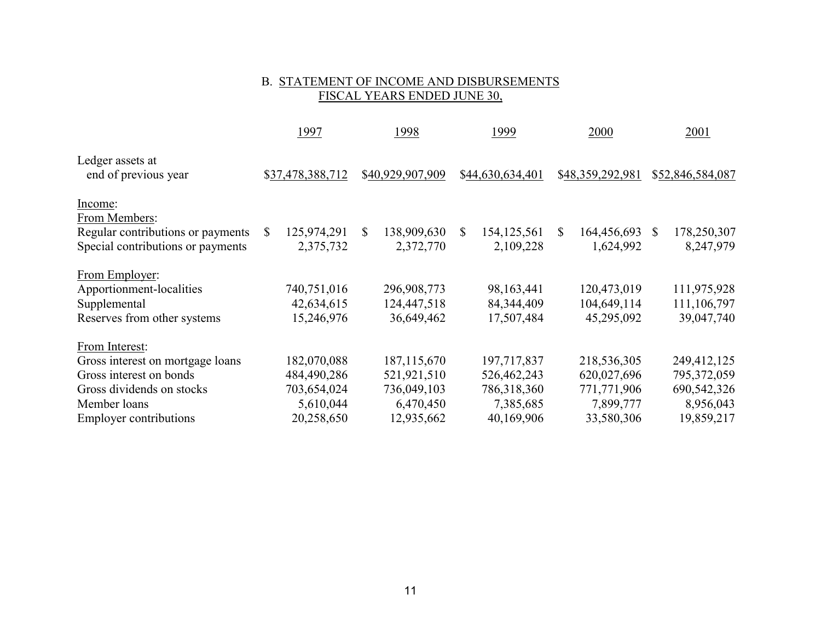# B. <u>STATEMENT OF INCOME AND DISBURSEMENTS</u><br>FISCAL YEARS ENDED JUNE 30,

|                                                                                         |   | 1997                     |               | 1998                     |   | 1999                       |    | 2000                     |               | 2001                     |
|-----------------------------------------------------------------------------------------|---|--------------------------|---------------|--------------------------|---|----------------------------|----|--------------------------|---------------|--------------------------|
| Ledger assets at<br>end of previous year                                                |   | \$37,478,388,712         |               | \$40,929,907,909         |   | \$44,630,634,401           |    | \$48,359,292,981         |               | \$52,846,584,087         |
| Income:                                                                                 |   |                          |               |                          |   |                            |    |                          |               |                          |
| From Members:<br>Regular contributions or payments<br>Special contributions or payments | S | 125,974,291<br>2,375,732 | <sup>\$</sup> | 138,909,630<br>2,372,770 | S | 154, 125, 561<br>2,109,228 | S. | 164,456,693<br>1,624,992 | <sup>\$</sup> | 178,250,307<br>8,247,979 |
| From Employer:                                                                          |   |                          |               |                          |   |                            |    |                          |               |                          |
| Apportionment-localities                                                                |   | 740,751,016              |               | 296,908,773              |   | 98, 163, 441               |    | 120,473,019              |               | 111,975,928              |
| Supplemental                                                                            |   | 42,634,615               |               | 124,447,518              |   | 84, 344, 409               |    | 104,649,114              |               | 111,106,797              |
| Reserves from other systems                                                             |   | 15,246,976               |               | 36,649,462               |   | 17,507,484                 |    | 45,295,092               |               | 39,047,740               |
| From Interest:                                                                          |   |                          |               |                          |   |                            |    |                          |               |                          |
| Gross interest on mortgage loans                                                        |   | 182,070,088              |               | 187, 115, 670            |   | 197,717,837                |    | 218,536,305              |               | 249,412,125              |
| Gross interest on bonds                                                                 |   | 484,490,286              |               | 521,921,510              |   | 526,462,243                |    | 620,027,696              |               | 795, 372, 059            |
| Gross dividends on stocks                                                               |   | 703,654,024              |               | 736,049,103              |   | 786,318,360                |    | 771,771,906              |               | 690,542,326              |
| Member loans                                                                            |   | 5,610,044                |               | 6,470,450                |   | 7,385,685                  |    | 7,899,777                |               | 8,956,043                |
| <b>Employer contributions</b>                                                           |   | 20,258,650               |               | 12,935,662               |   | 40,169,906                 |    | 33,580,306               |               | 19,859,217               |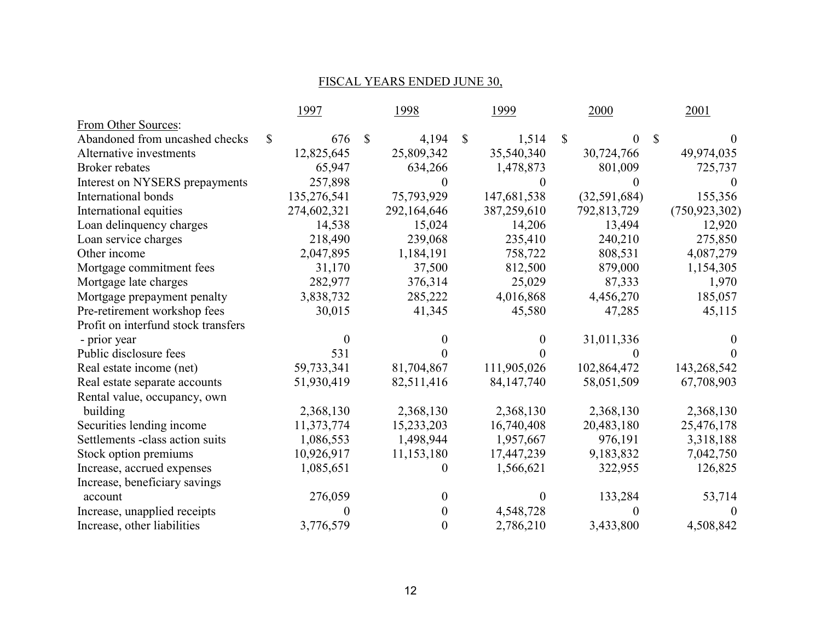## FISCAL YEARS ENDED JUNE 30,

|                                     |              | 1997        |              | 1998           |              | 1999         | 2000           |              | 2001            |
|-------------------------------------|--------------|-------------|--------------|----------------|--------------|--------------|----------------|--------------|-----------------|
| From Other Sources:                 |              |             |              |                |              |              |                |              |                 |
| Abandoned from uncashed checks      | $\mathbb{S}$ | 676         | $\mathbb{S}$ | 4,194          | $\mathbb{S}$ | 1,514        | \$<br>$\Omega$ | <sup>S</sup> | $\theta$        |
| Alternative investments             |              | 12,825,645  |              | 25,809,342     |              | 35,540,340   | 30,724,766     |              | 49,974,035      |
| <b>Broker rebates</b>               |              | 65,947      |              | 634,266        |              | 1,478,873    | 801,009        |              | 725,737         |
| Interest on NYSERS prepayments      |              | 257,898     |              | $\theta$       |              | $\Omega$     |                |              | $\theta$        |
| International bonds                 |              | 135,276,541 |              | 75,793,929     |              | 147,681,538  | (32, 591, 684) |              | 155,356         |
| International equities              |              | 274,602,321 |              | 292,164,646    |              | 387,259,610  | 792,813,729    |              | (750, 923, 302) |
| Loan delinquency charges            |              | 14,538      |              | 15,024         |              | 14,206       | 13,494         |              | 12,920          |
| Loan service charges                |              | 218,490     |              | 239,068        |              | 235,410      | 240,210        |              | 275,850         |
| Other income                        |              | 2,047,895   |              | 1,184,191      |              | 758,722      | 808,531        |              | 4,087,279       |
| Mortgage commitment fees            |              | 31,170      |              | 37,500         |              | 812,500      | 879,000        |              | 1,154,305       |
| Mortgage late charges               |              | 282,977     |              | 376,314        |              | 25,029       | 87,333         |              | 1,970           |
| Mortgage prepayment penalty         |              | 3,838,732   |              | 285,222        |              | 4,016,868    | 4,456,270      |              | 185,057         |
| Pre-retirement workshop fees        |              | 30,015      |              | 41,345         |              | 45,580       | 47,285         |              | 45,115          |
| Profit on interfund stock transfers |              |             |              |                |              |              |                |              |                 |
| - prior year                        |              | $\theta$    |              |                |              | $\theta$     | 31,011,336     |              |                 |
| Public disclosure fees              |              | 531         |              |                |              | $\theta$     |                |              |                 |
| Real estate income (net)            |              | 59,733,341  |              | 81,704,867     |              | 111,905,026  | 102,864,472    |              | 143,268,542     |
| Real estate separate accounts       |              | 51,930,419  |              | 82,511,416     |              | 84, 147, 740 | 58,051,509     |              | 67,708,903      |
| Rental value, occupancy, own        |              |             |              |                |              |              |                |              |                 |
| building                            |              | 2,368,130   |              | 2,368,130      |              | 2,368,130    | 2,368,130      |              | 2,368,130       |
| Securities lending income           |              | 11,373,774  |              | 15,233,203     |              | 16,740,408   | 20,483,180     |              | 25,476,178      |
| Settlements -class action suits     |              | 1,086,553   |              | 1,498,944      |              | 1,957,667    | 976,191        |              | 3,318,188       |
| Stock option premiums               |              | 10,926,917  |              | 11,153,180     |              | 17,447,239   | 9,183,832      |              | 7,042,750       |
| Increase, accrued expenses          |              | 1,085,651   |              | $\theta$       |              | 1,566,621    | 322,955        |              | 126,825         |
| Increase, beneficiary savings       |              |             |              |                |              |              |                |              |                 |
| account                             |              | 276,059     |              | 0              |              | $\theta$     | 133,284        |              | 53,714          |
| Increase, unapplied receipts        |              |             |              | 0              |              | 4,548,728    |                |              |                 |
| Increase, other liabilities         |              | 3,776,579   |              | $\overline{0}$ |              | 2,786,210    | 3,433,800      |              | 4,508,842       |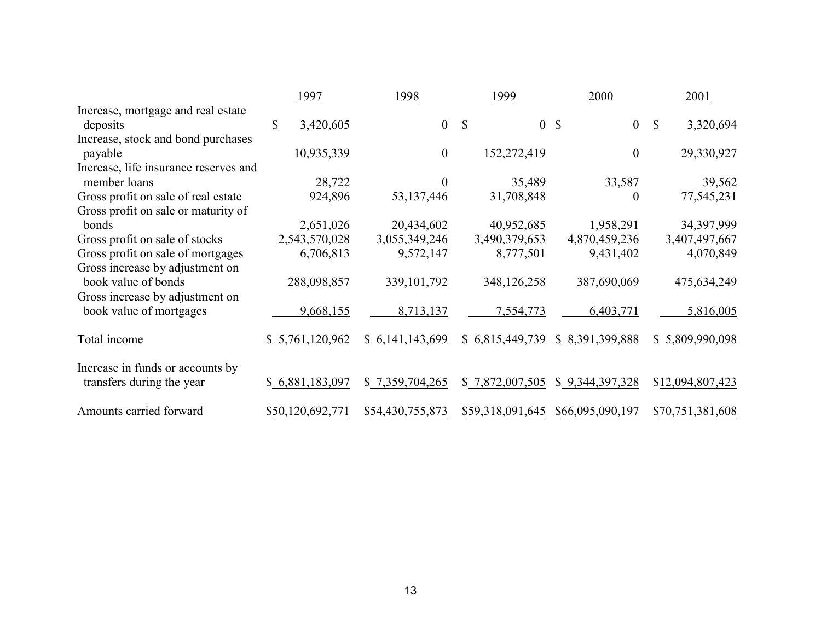|                                               | 1997             | 1998             |                |    | 1999             |              | 2000             |              | 2001             |
|-----------------------------------------------|------------------|------------------|----------------|----|------------------|--------------|------------------|--------------|------------------|
| Increase, mortgage and real estate            |                  |                  |                |    |                  |              |                  |              |                  |
| deposits                                      | \$<br>3,420,605  |                  | $\overline{0}$ | -S | $\overline{0}$   | $\mathbb{S}$ | $\overline{0}$   | $\mathbb{S}$ | 3,320,694        |
| Increase, stock and bond purchases<br>payable | 10,935,339       |                  | $\theta$       |    | 152,272,419      |              | $\theta$         |              | 29,330,927       |
| Increase, life insurance reserves and         |                  |                  |                |    |                  |              |                  |              |                  |
| member loans                                  | 28,722           |                  | 0              |    | 35,489           |              | 33,587           |              | 39,562           |
| Gross profit on sale of real estate           | 924,896          | 53, 137, 446     |                |    | 31,708,848       |              | 0                |              | 77,545,231       |
| Gross profit on sale or maturity of           |                  |                  |                |    |                  |              |                  |              |                  |
| bonds                                         | 2,651,026        | 20,434,602       |                |    | 40,952,685       |              | 1,958,291        |              | 34,397,999       |
| Gross profit on sale of stocks                | 2,543,570,028    | 3,055,349,246    |                |    | 3,490,379,653    |              | 4,870,459,236    |              | 3,407,497,667    |
| Gross profit on sale of mortgages             | 6,706,813        | 9,572,147        |                |    | 8,777,501        |              | 9,431,402        |              | 4,070,849        |
| Gross increase by adjustment on               |                  |                  |                |    |                  |              |                  |              |                  |
| book value of bonds                           | 288,098,857      | 339, 101, 792    |                |    | 348,126,258      |              | 387,690,069      |              | 475,634,249      |
| Gross increase by adjustment on               |                  |                  |                |    |                  |              |                  |              |                  |
| book value of mortgages                       | 9,668,155        | 8,713,137        |                |    | 7,554,773        |              | 6,403,771        |              | 5,816,005        |
| Total income                                  | \$5,761,120,962  | \$6,141,143,699  |                |    | \$6,815,449,739  |              | \$ 8,391,399,888 |              | \$ 5,809,990,098 |
| Increase in funds or accounts by              |                  |                  |                |    |                  |              |                  |              |                  |
| transfers during the year                     | \$6,881,183,097  | \$ 7,359,704,265 |                |    | \$ 7,872,007,505 |              | \$ 9,344,397,328 |              | \$12,094,807,423 |
| Amounts carried forward                       | \$50,120,692,771 | \$54,430,755,873 |                |    | \$59,318,091,645 |              | \$66,095,090,197 |              | \$70,751,381,608 |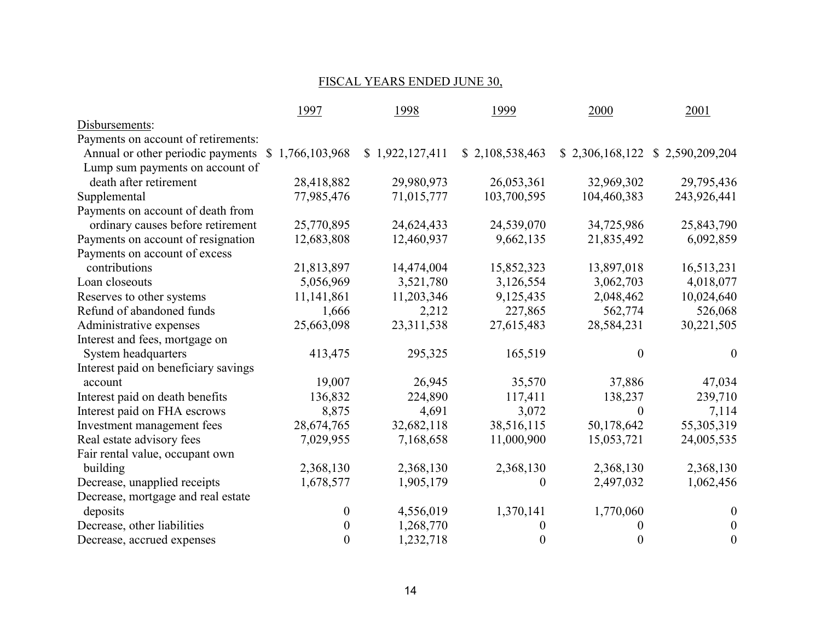## FISCAL YEARS ENDED JUNE 30,

|                                                   | 1997             | 1998            | 1999            | 2000        | 2001                             |
|---------------------------------------------------|------------------|-----------------|-----------------|-------------|----------------------------------|
| Disbursements:                                    |                  |                 |                 |             |                                  |
| Payments on account of retirements:               |                  |                 |                 |             |                                  |
| Annual or other periodic payments \$1,766,103,968 |                  | \$1,922,127,411 | \$2,108,538,463 |             | $$2,306,168,122 \$2,590,209,204$ |
| Lump sum payments on account of                   |                  |                 |                 |             |                                  |
| death after retirement                            | 28,418,882       | 29,980,973      | 26,053,361      | 32,969,302  | 29,795,436                       |
| Supplemental                                      | 77,985,476       | 71,015,777      | 103,700,595     | 104,460,383 | 243,926,441                      |
| Payments on account of death from                 |                  |                 |                 |             |                                  |
| ordinary causes before retirement                 | 25,770,895       | 24,624,433      | 24,539,070      | 34,725,986  | 25,843,790                       |
| Payments on account of resignation                | 12,683,808       | 12,460,937      | 9,662,135       | 21,835,492  | 6,092,859                        |
| Payments on account of excess                     |                  |                 |                 |             |                                  |
| contributions                                     | 21,813,897       | 14,474,004      | 15,852,323      | 13,897,018  | 16,513,231                       |
| Loan closeouts                                    | 5,056,969        | 3,521,780       | 3,126,554       | 3,062,703   | 4,018,077                        |
| Reserves to other systems                         | 11,141,861       | 11,203,346      | 9,125,435       | 2,048,462   | 10,024,640                       |
| Refund of abandoned funds                         | 1,666            | 2,212           | 227,865         | 562,774     | 526,068                          |
| Administrative expenses                           | 25,663,098       | 23, 311, 538    | 27,615,483      | 28,584,231  | 30,221,505                       |
| Interest and fees, mortgage on                    |                  |                 |                 |             |                                  |
| System headquarters                               | 413,475          | 295,325         | 165,519         | $\Omega$    | $\boldsymbol{0}$                 |
| Interest paid on beneficiary savings              |                  |                 |                 |             |                                  |
| account                                           | 19,007           | 26,945          | 35,570          | 37,886      | 47,034                           |
| Interest paid on death benefits                   | 136,832          | 224,890         | 117,411         | 138,237     | 239,710                          |
| Interest paid on FHA escrows                      | 8,875            | 4,691           | 3,072           | $\theta$    | 7,114                            |
| Investment management fees                        | 28,674,765       | 32,682,118      | 38,516,115      | 50,178,642  | 55,305,319                       |
| Real estate advisory fees                         | 7,029,955        | 7,168,658       | 11,000,900      | 15,053,721  | 24,005,535                       |
| Fair rental value, occupant own                   |                  |                 |                 |             |                                  |
| building                                          | 2,368,130        | 2,368,130       | 2,368,130       | 2,368,130   | 2,368,130                        |
| Decrease, unapplied receipts                      | 1,678,577        | 1,905,179       | 0               | 2,497,032   | 1,062,456                        |
| Decrease, mortgage and real estate                |                  |                 |                 |             |                                  |
| deposits                                          | $\boldsymbol{0}$ | 4,556,019       | 1,370,141       | 1,770,060   | $\boldsymbol{0}$                 |
| Decrease, other liabilities                       | $\boldsymbol{0}$ | 1,268,770       | $\Omega$        |             | $\boldsymbol{0}$                 |
| Decrease, accrued expenses                        | $\boldsymbol{0}$ | 1,232,718       | $\theta$        | 0           | $\boldsymbol{0}$                 |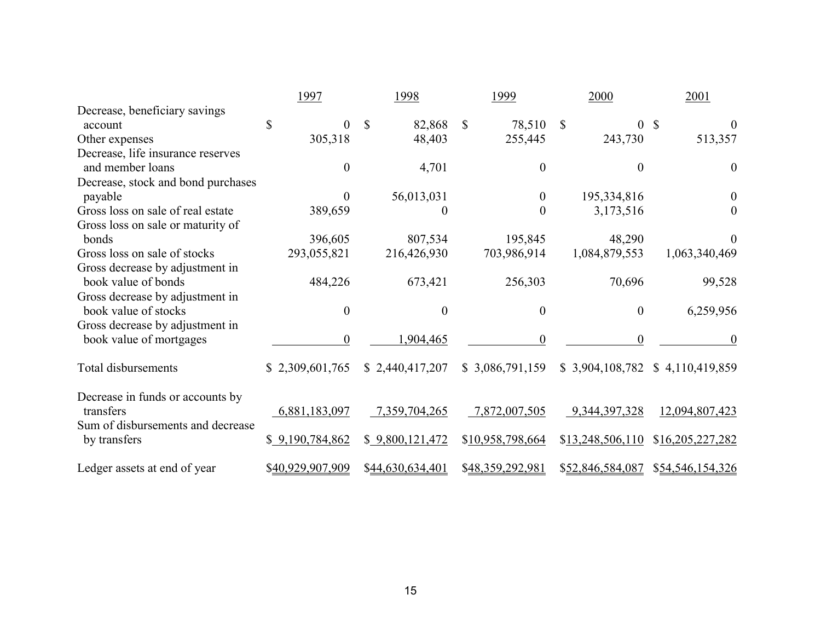|                                               | 1997             | 1998                   | 1999                   | 2000                           | 2001                              |
|-----------------------------------------------|------------------|------------------------|------------------------|--------------------------------|-----------------------------------|
| Decrease, beneficiary savings                 |                  |                        |                        |                                |                                   |
| account                                       | \$<br>$\theta$   | 82,868<br><sup>S</sup> | $\mathbb{S}$<br>78,510 | $\mathbb{S}$<br>$\overline{0}$ | <sup>\$</sup><br>$\theta$         |
| Other expenses                                | 305,318          | 48,403                 | 255,445                | 243,730                        | 513,357                           |
| Decrease, life insurance reserves             |                  |                        |                        |                                |                                   |
| and member loans                              | $\boldsymbol{0}$ | 4,701                  | $\boldsymbol{0}$       | $\theta$                       | $\theta$                          |
| Decrease, stock and bond purchases            |                  |                        |                        |                                |                                   |
| payable                                       | $\Omega$         | 56,013,031             | $\boldsymbol{0}$       | 195,334,816                    | $\theta$                          |
| Gross loss on sale of real estate             | 389,659          | $\theta$               | $\overline{0}$         | 3,173,516                      | $\Omega$                          |
| Gross loss on sale or maturity of             |                  |                        |                        |                                |                                   |
| bonds                                         | 396,605          | 807,534                | 195,845                | 48,290                         |                                   |
| Gross loss on sale of stocks                  | 293,055,821      | 216,426,930            | 703,986,914            | 1,084,879,553                  | 1,063,340,469                     |
| Gross decrease by adjustment in               |                  |                        |                        |                                |                                   |
| book value of bonds                           | 484,226          | 673,421                | 256,303                | 70,696                         | 99,528                            |
| Gross decrease by adjustment in               |                  |                        |                        |                                |                                   |
| book value of stocks                          | $\boldsymbol{0}$ | $\overline{0}$         | $\boldsymbol{0}$       | $\boldsymbol{0}$               | 6,259,956                         |
| Gross decrease by adjustment in               |                  |                        |                        |                                |                                   |
| book value of mortgages                       | $\theta$         | 1,904,465              | $\theta$               | $\theta$                       | $\Omega$                          |
| Total disbursements                           | \$2,309,601,765  | \$2,440,417,207        | \$3,086,791,159        |                                | \$ 3,904,108,782 \$ 4,110,419,859 |
|                                               |                  |                        |                        |                                |                                   |
| Decrease in funds or accounts by<br>transfers | 6,881,183,097    | 7,359,704,265          | 7,872,007,505          | 9,344,397,328                  | 12,094,807,423                    |
| Sum of disbursements and decrease             |                  |                        |                        |                                |                                   |
| by transfers                                  | \$9,190,784,862  | \$9,800,121,472        | \$10,958,798,664       | \$13,248,506,110               | \$16,205,227,282                  |
|                                               |                  |                        |                        |                                |                                   |
| Ledger assets at end of year                  | \$40,929,907,909 | \$44,630,634,401       | \$48,359,292,981       |                                | \$52,846,584,087 \$54,546,154,326 |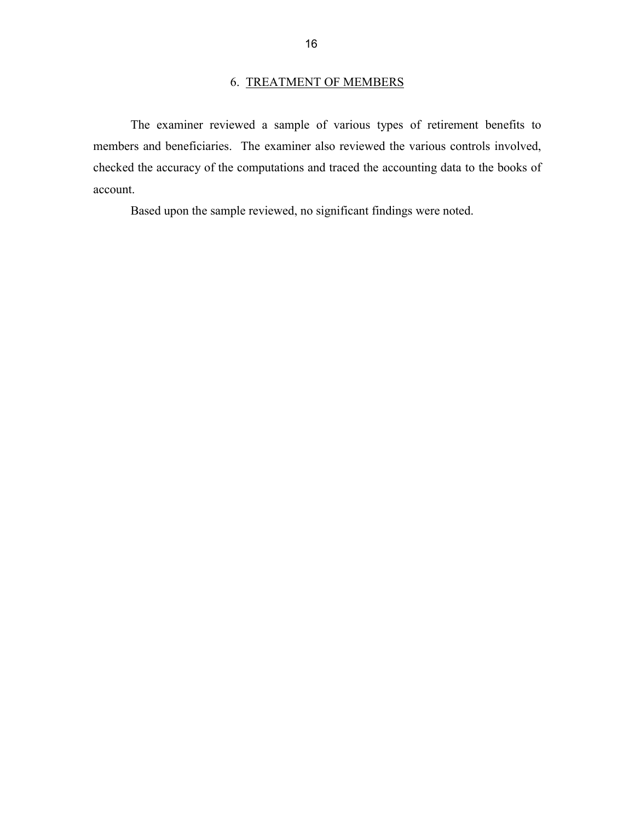## 6. TREATMENT OF MEMBERS

The examiner reviewed a sample of various types of retirement benefits to members and beneficiaries. The examiner also reviewed the various controls involved, checked the accuracy of the computations and traced the accounting data to the books of account.

Based upon the sample reviewed, no significant findings were noted.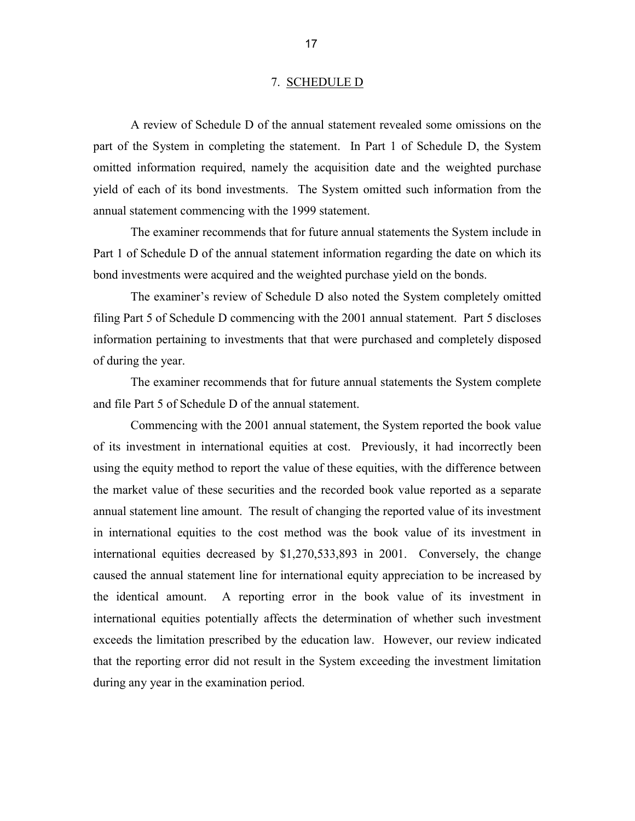#### 7. SCHEDULE D

A review of Schedule D of the annual statement revealed some omissions on the part of the System in completing the statement. In Part 1 of Schedule D, the System omitted information required, namely the acquisition date and the weighted purchase yield of each of its bond investments. The System omitted such information from the annual statement commencing with the 1999 statement.

The examiner recommends that for future annual statements the System include in Part 1 of Schedule D of the annual statement information regarding the date on which its bond investments were acquired and the weighted purchase yield on the bonds.

The examiner's review of Schedule D also noted the System completely omitted filing Part 5 of Schedule D commencing with the 2001 annual statement. Part 5 discloses information pertaining to investments that that were purchased and completely disposed of during the year.

The examiner recommends that for future annual statements the System complete and file Part 5 of Schedule D of the annual statement.

Commencing with the 2001 annual statement, the System reported the book value of its investment in international equities at cost. Previously, it had incorrectly been using the equity method to report the value of these equities, with the difference between the market value of these securities and the recorded book value reported as a separate annual statement line amount. The result of changing the reported value of its investment in international equities to the cost method was the book value of its investment in international equities decreased by \$1,270,533,893 in 2001. Conversely, the change caused the annual statement line for international equity appreciation to be increased by the identical amount. A reporting error in the book value of its investment in international equities potentially affects the determination of whether such investment exceeds the limitation prescribed by the education law. However, our review indicated that the reporting error did not result in the System exceeding the investment limitation during any year in the examination period.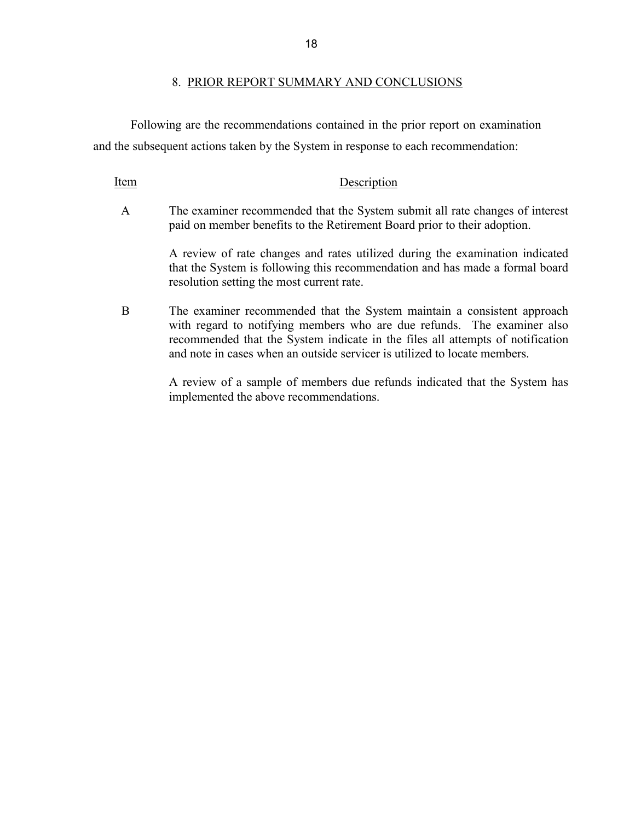#### 8. PRIOR REPORT SUMMARY AND CONCLUSIONS

Following are the recommendations contained in the prior report on examination and the subsequent actions taken by the System in response to each recommendation:

#### Item Description

A The examiner recommended that the System submit all rate changes of interest paid on member benefits to the Retirement Board prior to their adoption.

> A review of rate changes and rates utilized during the examination indicated that the System is following this recommendation and has made a formal board resolution setting the most current rate.

B The examiner recommended that the System maintain a consistent approach with regard to notifying members who are due refunds. The examiner also recommended that the System indicate in the files all attempts of notification and note in cases when an outside servicer is utilized to locate members.

> A review of a sample of members due refunds indicated that the System has implemented the above recommendations.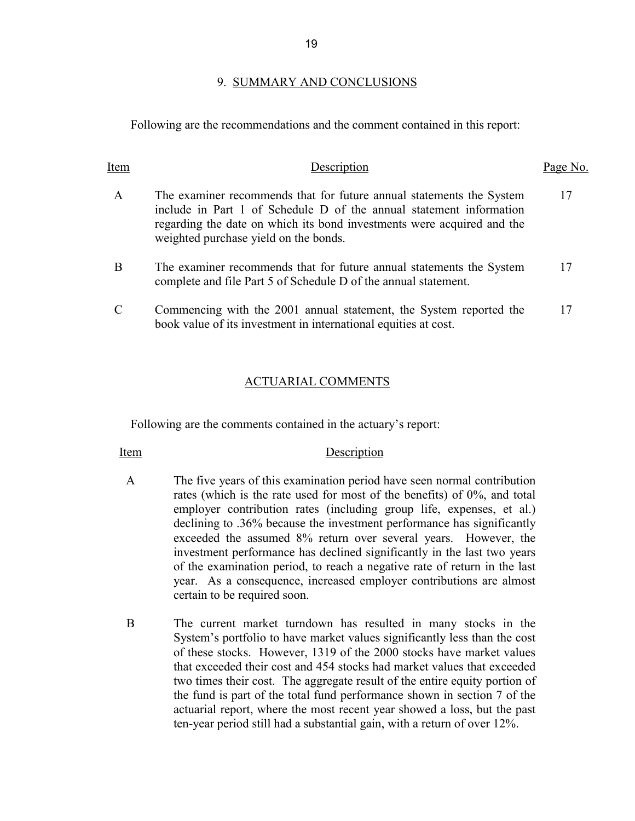#### 9. SUMMARY AND CONCLUSIONS

Following are the recommendations and the comment contained in this report:

| Item         | Description                                                                                                                                                                                                                                                    | Page No. |
|--------------|----------------------------------------------------------------------------------------------------------------------------------------------------------------------------------------------------------------------------------------------------------------|----------|
| $\mathsf{A}$ | The examiner recommends that for future annual statements the System<br>include in Part 1 of Schedule D of the annual statement information<br>regarding the date on which its bond investments were acquired and the<br>weighted purchase yield on the bonds. | 17       |
| B            | The examiner recommends that for future annual statements the System<br>complete and file Part 5 of Schedule D of the annual statement.                                                                                                                        | 17       |
|              | Commencing with the 2001 annual statement, the System reported the<br>book value of its investment in international equities at cost.                                                                                                                          | 17       |

#### ACTUARIAL COMMENTS

Following are the comments contained in the actuary's report:

#### Item Description

- A The five years of this examination period have seen normal contribution rates (which is the rate used for most of the benefits) of 0%, and total employer contribution rates (including group life, expenses, et al.) declining to .36% because the investment performance has significantly exceeded the assumed 8% return over several years. However, the investment performance has declined significantly in the last two years of the examination period, to reach a negative rate of return in the last year. As a consequence, increased employer contributions are almost certain to be required soon.
- B The current market turndown has resulted in many stocks in the System's portfolio to have market values significantly less than the cost of these stocks. However, 1319 of the 2000 stocks have market values that exceeded their cost and 454 stocks had market values that exceeded two times their cost. The aggregate result of the entire equity portion of the fund is part of the total fund performance shown in section 7 of the actuarial report, where the most recent year showed a loss, but the past ten-year period still had a substantial gain, with a return of over 12%.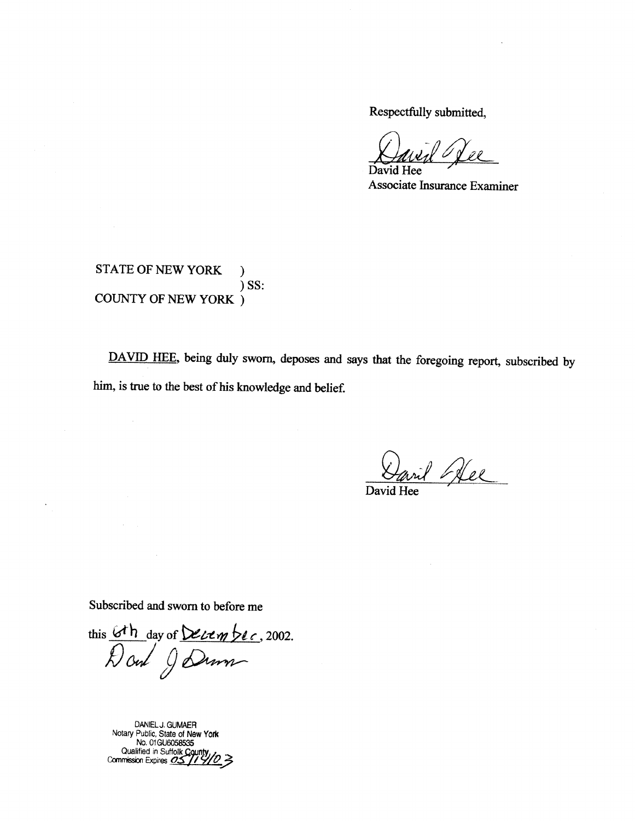Respectfully submitted,

David Hee

Associate Insurance Examiner

**STATE OF NEW YORK**  $\lambda$  $)$  SS: COUNTY OF NEW YORK  $\, )$ 

DAVID HEE, being duly sworn, deposes and says that the foregoing report, subscribed by him, is true to the best of his knowledge and belief.

vil Dee

David

Subscribed and sworn to before me

this 6th day of December, 2002.

DANIEL J. GUMAER<br>Notary Public, State of New York<br>No. 01 GU6058535<br>Qualified in Suffolk County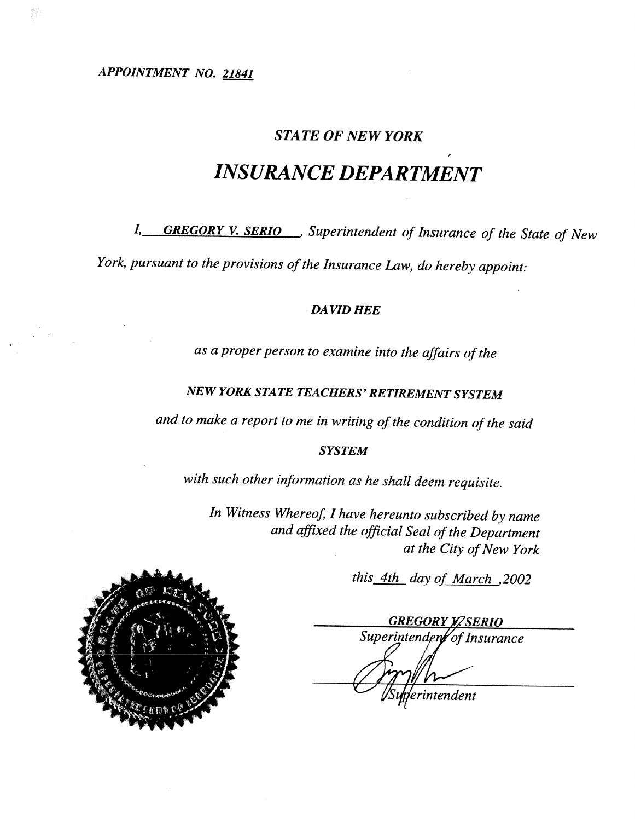APPOINTMENT NO. 21841

## **STATE OF NEW YORK**

# **INSURANCE DEPARTMENT**

I, GREGORY V. SERIO Superintendent of Insurance of the State of New

York, pursuant to the provisions of the Insurance Law, do hereby appoint:

## **DAVID HEE**

as a proper person to examine into the affairs of the

# **NEW YORK STATE TEACHERS' RETIREMENT SYSTEM**

and to make a report to me in writing of the condition of the said

### **SYSTEM**

with such other information as he shall deem requisite.

In Witness Whereof, I have hereunto subscribed by name and affixed the official Seal of the Department at the City of New York

this 4th day of March , 2002

**GREGORY YZ SERIO** Superintenden of Insurance erintendent

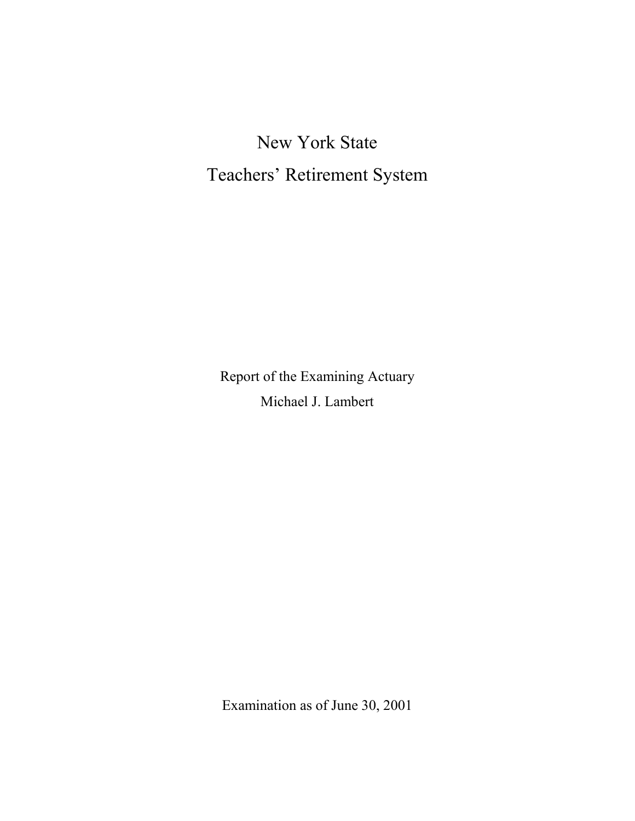New York State Teachers' Retirement System

Report of the Examining Actuary Michael J. Lambert

Examination as of June 30, 2001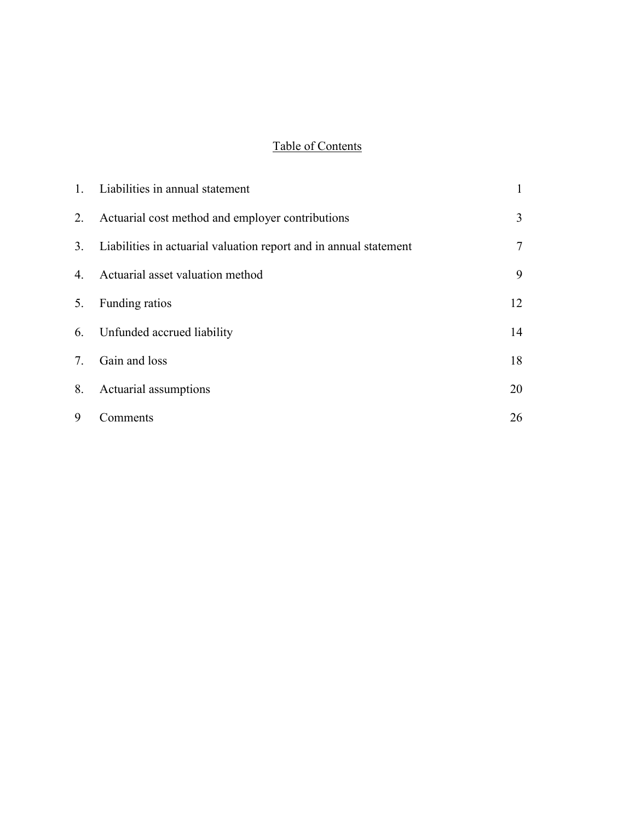# Table of Contents

|    | 1. Liabilities in annual statement                                   | $\mathbf{1}$ |
|----|----------------------------------------------------------------------|--------------|
| 2. | Actuarial cost method and employer contributions                     | 3            |
|    | 3. Liabilities in actuarial valuation report and in annual statement | 7            |
| 4. | Actuarial asset valuation method                                     | 9            |
| 5. | Funding ratios                                                       | 12           |
|    | 6. Unfunded accrued liability                                        | 14           |
| 7. | Gain and loss                                                        | 18           |
| 8. | Actuarial assumptions                                                | 20           |
| 9  | Comments                                                             | 26           |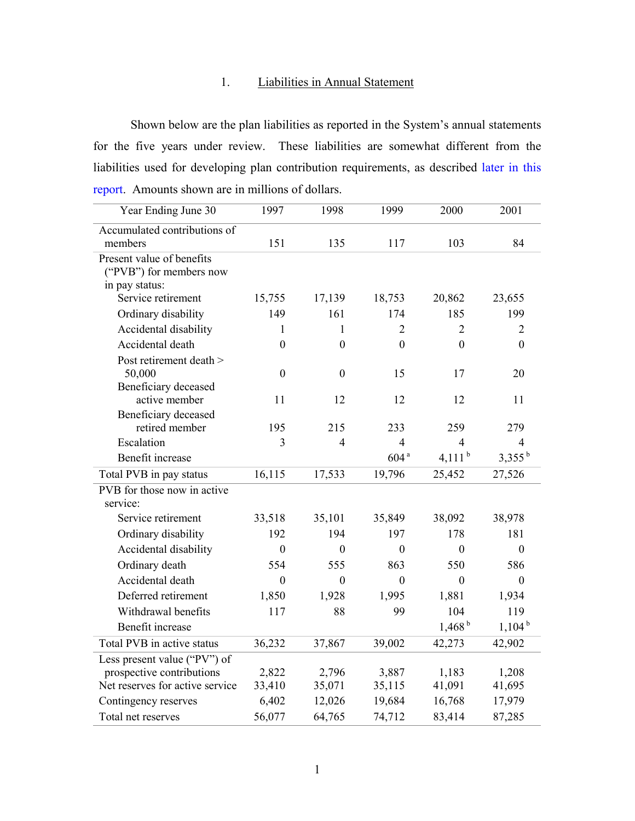## 1. Liabilities in Annual Statement

Shown below are the plan liabilities as reported in the System's annual statements for the five years under review. These liabilities are somewhat different from the liabilities used for developing plan contribution requirements, as described later in this report. Amounts shown are in millions of dollars.

| Year Ending June 30                    | 1997             | 1998             | 1999             | 2000               | 2001             |
|----------------------------------------|------------------|------------------|------------------|--------------------|------------------|
| Accumulated contributions of           |                  |                  |                  |                    |                  |
| members                                | 151              | 135              | 117              | 103                | 84               |
| Present value of benefits              |                  |                  |                  |                    |                  |
| ("PVB") for members now                |                  |                  |                  |                    |                  |
| in pay status:                         |                  |                  |                  |                    |                  |
| Service retirement                     | 15,755           | 17,139           | 18,753           | 20,862             | 23,655           |
| Ordinary disability                    | 149              | 161              | 174              | 185                | 199              |
| Accidental disability                  | 1                | 1                | $\overline{2}$   | $\overline{2}$     | $\overline{2}$   |
| Accidental death                       | $\Omega$         | $\theta$         | $\theta$         | $\theta$           | $\theta$         |
| Post retirement death >                |                  |                  |                  |                    |                  |
| 50,000                                 | $\boldsymbol{0}$ | $\boldsymbol{0}$ | 15               | 17                 | 20               |
| Beneficiary deceased                   |                  |                  |                  |                    |                  |
| active member                          | 11               | 12               | 12               | 12                 | 11               |
| Beneficiary deceased<br>retired member | 195              | 215              | 233              | 259                | 279              |
| Escalation                             | $\overline{3}$   | $\overline{4}$   | $\overline{4}$   | $\overline{4}$     | $\overline{4}$   |
|                                        |                  |                  | 604 <sup>a</sup> |                    |                  |
| Benefit increase                       |                  |                  |                  | 4,111 $^{\rm b}$   | $3,355^{b}$      |
| Total PVB in pay status                | 16,115           | 17,533           | 19,796           | 25,452             | 27,526           |
| PVB for those now in active            |                  |                  |                  |                    |                  |
| service:                               |                  |                  |                  |                    |                  |
| Service retirement                     | 33,518           | 35,101           | 35,849           | 38,092             | 38,978           |
| Ordinary disability                    | 192              | 194              | 197              | 178                | 181              |
| Accidental disability                  | $\theta$         | $\theta$         | $\boldsymbol{0}$ | $\theta$           | $\theta$         |
| Ordinary death                         | 554              | 555              | 863              | 550                | 586              |
| Accidental death                       | $\boldsymbol{0}$ | $\boldsymbol{0}$ | $\boldsymbol{0}$ | $\boldsymbol{0}$   | $\boldsymbol{0}$ |
| Deferred retirement                    | 1,850            | 1,928            | 1,995            | 1,881              | 1,934            |
| Withdrawal benefits                    | 117              | 88               | 99               | 104                | 119              |
| Benefit increase                       |                  |                  |                  | 1,468 <sup>b</sup> | $1,104^{b}$      |
| Total PVB in active status             | 36,232           | 37,867           | 39,002           | 42,273             | 42,902           |
| Less present value ("PV") of           |                  |                  |                  |                    |                  |
| prospective contributions              | 2,822            | 2,796            | 3,887            | 1,183              | 1,208            |
| Net reserves for active service        | 33,410           | 35,071           | 35,115           | 41,091             | 41,695           |
| Contingency reserves                   | 6,402            | 12,026           | 19,684           | 16,768             | 17,979           |
| Total net reserves                     | 56,077           | 64,765           | 74,712           | 83,414             | 87,285           |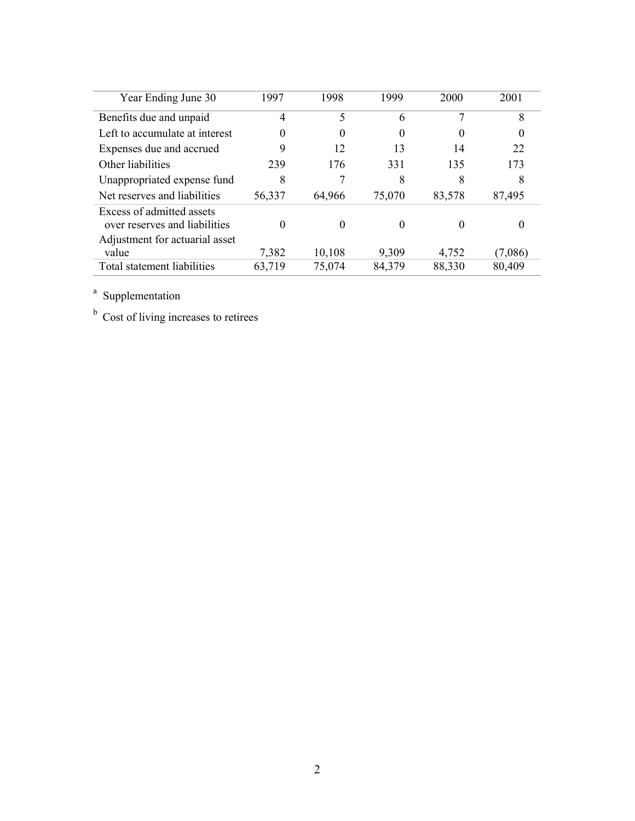| Year Ending June 30                                                                          | 1997   | 1998   | 1999     | 2000     | 2001     |
|----------------------------------------------------------------------------------------------|--------|--------|----------|----------|----------|
| Benefits due and unpaid                                                                      | 4      | 5      | 6        |          | 8        |
| Left to accumulate at interest                                                               | 0      |        | 0        | $\theta$ | $\theta$ |
| Expenses due and accrued                                                                     | 9      | 12     | 13       | 14       | 22       |
| Other liabilities                                                                            | 239    | 176    | 331      | 135      | 173      |
| Unappropriated expense fund                                                                  | 8      |        | 8        | 8        | 8        |
| Net reserves and liabilities                                                                 | 56,337 | 64,966 | 75,070   | 83,578   | 87,495   |
| Excess of admitted assets<br>over reserves and liabilities<br>Adjustment for actuarial asset |        |        | $\theta$ | 0        | 0        |
| value                                                                                        | 7,382  | 10,108 | 9,309    | 4,752    | (7,086)  |
| Total statement liabilities                                                                  | 63,719 | 75,074 | 84,379   | 88,330   | 80,409   |

<sup>a</sup> Supplementation

<sup>b</sup> Cost of living increases to retirees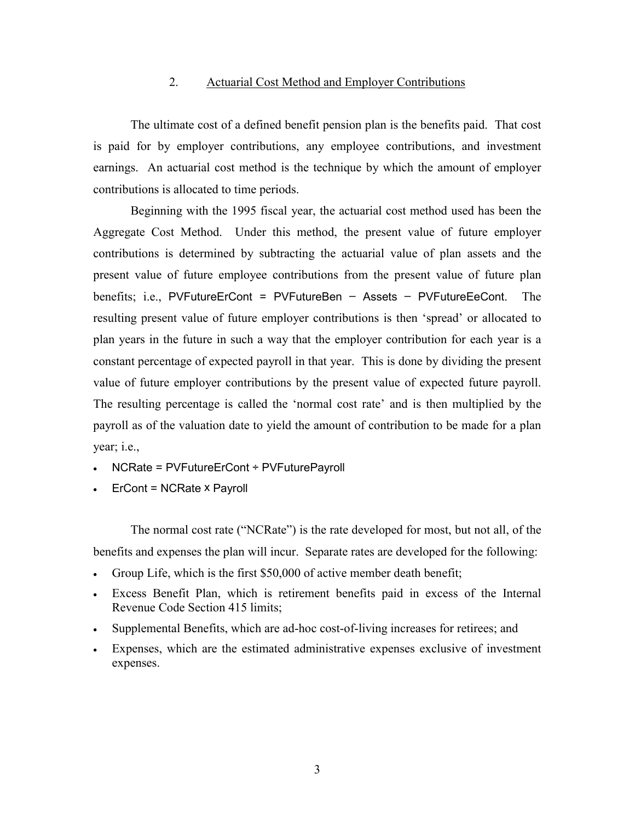## 2. Actuarial Cost Method and Employer Contributions

The ultimate cost of a defined benefit pension plan is the benefits paid. That cost is paid for by employer contributions, any employee contributions, and investment earnings. An actuarial cost method is the technique by which the amount of employer contributions is allocated to time periods.

Beginning with the 1995 fiscal year, the actuarial cost method used has been the Aggregate Cost Method. Under this method, the present value of future employer contributions is determined by subtracting the actuarial value of plan assets and the present value of future employee contributions from the present value of future plan benefits; i.e., PVFutureErCont = PVFutureBen – Assets – PVFutureEeCont. The resulting present value of future employer contributions is then 'spread' or allocated to plan years in the future in such a way that the employer contribution for each year is a constant percentage of expected payroll in that year. This is done by dividing the present value of future employer contributions by the present value of expected future payroll. The resulting percentage is called the 'normal cost rate' and is then multiplied by the payroll as of the valuation date to yield the amount of contribution to be made for a plan year; i.e.,

- NCRate = PVFutureErCont ÷ PVFuturePayroll
- ErCont = NCRate x Payroll

The normal cost rate ("NCRate") is the rate developed for most, but not all, of the benefits and expenses the plan will incur. Separate rates are developed for the following:

- Group Life, which is the first \$50,000 of active member death benefit;
- Excess Benefit Plan, which is retirement benefits paid in excess of the Internal Revenue Code Section 415 limits;
- Supplemental Benefits, which are ad-hoc cost-of-living increases for retirees; and
- Expenses, which are the estimated administrative expenses exclusive of investment expenses.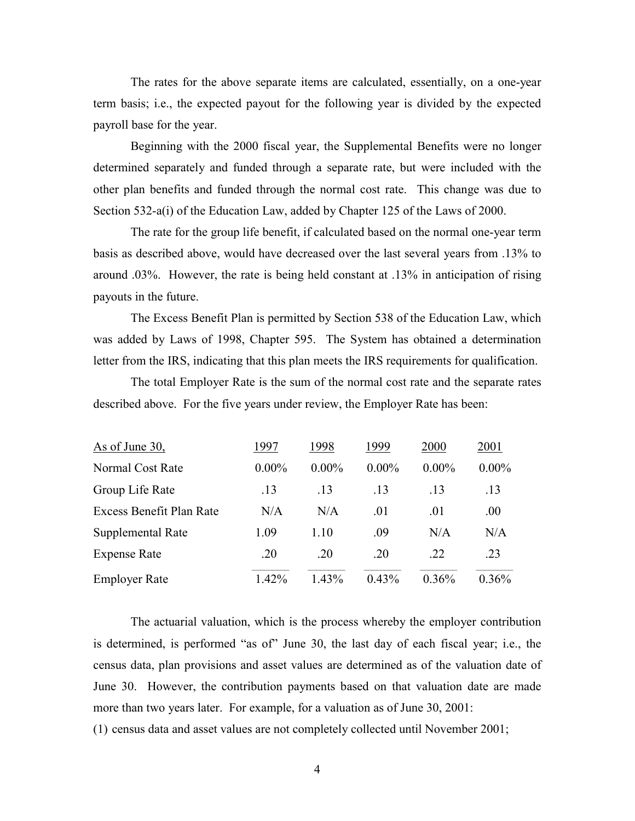The rates for the above separate items are calculated, essentially, on a one-year term basis; i.e., the expected payout for the following year is divided by the expected payroll base for the year.

Beginning with the 2000 fiscal year, the Supplemental Benefits were no longer determined separately and funded through a separate rate, but were included with the other plan benefits and funded through the normal cost rate. This change was due to Section 532-a(i) of the Education Law, added by Chapter 125 of the Laws of 2000.

The rate for the group life benefit, if calculated based on the normal one-year term basis as described above, would have decreased over the last several years from .13% to around .03%. However, the rate is being held constant at .13% in anticipation of rising payouts in the future.

The Excess Benefit Plan is permitted by Section 538 of the Education Law, which was added by Laws of 1998, Chapter 595. The System has obtained a determination letter from the IRS, indicating that this plan meets the IRS requirements for qualification.

The total Employer Rate is the sum of the normal cost rate and the separate rates described above. For the five years under review, the Employer Rate has been:

| As of June 30,           | 1997     | 1998     | 1999     | 2000     | 2001     |
|--------------------------|----------|----------|----------|----------|----------|
| Normal Cost Rate         | $0.00\%$ | $0.00\%$ | $0.00\%$ | $0.00\%$ | $0.00\%$ |
| Group Life Rate          | .13      | .13      | .13      | .13      | .13      |
| Excess Benefit Plan Rate | N/A      | N/A      | .01      | .01      | .00.     |
| Supplemental Rate        | 1.09     | 1.10     | .09      | N/A      | N/A      |
| <b>Expense Rate</b>      | .20      | .20      | .20      | .22      | .23      |
| <b>Employer Rate</b>     | $1.42\%$ | 1.43%    | 0.43%    | $0.36\%$ | $0.36\%$ |

The actuarial valuation, which is the process whereby the employer contribution is determined, is performed "as of" June 30, the last day of each fiscal year; i.e., the census data, plan provisions and asset values are determined as of the valuation date of June 30. However, the contribution payments based on that valuation date are made more than two years later. For example, for a valuation as of June 30, 2001:

(1) census data and asset values are not completely collected until November 2001;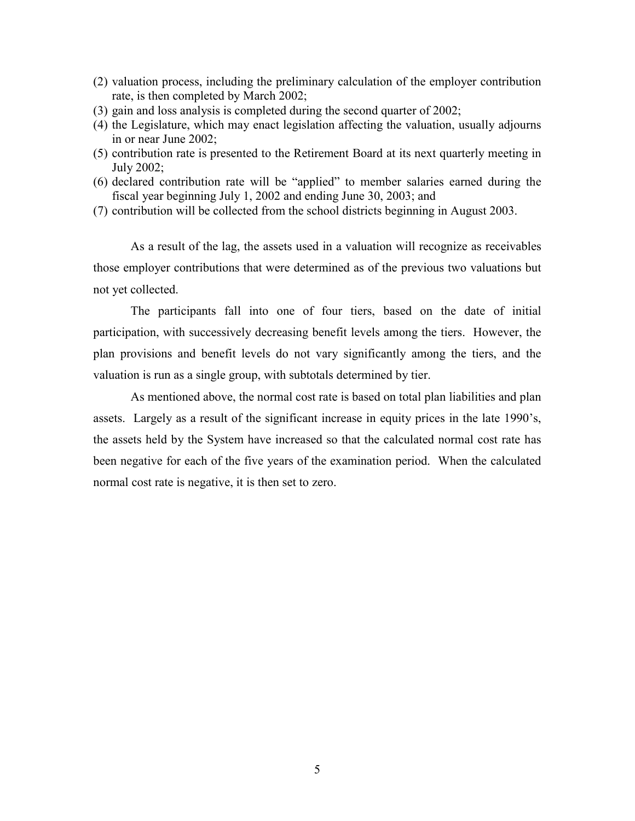- (2) valuation process, including the preliminary calculation of the employer contribution rate, is then completed by March 2002;
- (3) gain and loss analysis is completed during the second quarter of 2002;
- (4) the Legislature, which may enact legislation affecting the valuation, usually adjourns in or near June 2002;
- (5) contribution rate is presented to the Retirement Board at its next quarterly meeting in July 2002;
- (6) declared contribution rate will be "applied" to member salaries earned during the fiscal year beginning July 1, 2002 and ending June 30, 2003; and
- (7) contribution will be collected from the school districts beginning in August 2003.

As a result of the lag, the assets used in a valuation will recognize as receivables those employer contributions that were determined as of the previous two valuations but not yet collected.

The participants fall into one of four tiers, based on the date of initial participation, with successively decreasing benefit levels among the tiers. However, the plan provisions and benefit levels do not vary significantly among the tiers, and the valuation is run as a single group, with subtotals determined by tier.

As mentioned above, the normal cost rate is based on total plan liabilities and plan assets. Largely as a result of the significant increase in equity prices in the late 1990's, the assets held by the System have increased so that the calculated normal cost rate has been negative for each of the five years of the examination period. When the calculated normal cost rate is negative, it is then set to zero.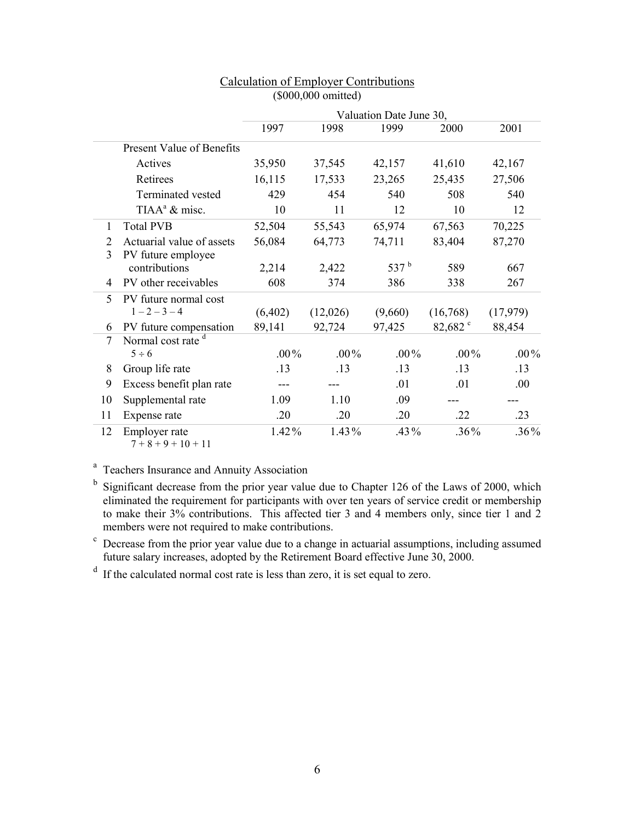|    |                                        |          |          | Valuation Date June 30, |                  |          |
|----|----------------------------------------|----------|----------|-------------------------|------------------|----------|
|    |                                        | 1997     | 1998     | 1999                    | 2000             | 2001     |
|    | <b>Present Value of Benefits</b>       |          |          |                         |                  |          |
|    | Actives                                | 35,950   | 37,545   | 42,157                  | 41,610           | 42,167   |
|    | Retirees                               | 16,115   | 17,533   | 23,265                  | 25,435           | 27,506   |
|    | Terminated vested                      | 429      | 454      | 540                     | 508              | 540      |
|    | TIAA <sup>a</sup> & misc.              | 10       | 11       | 12                      | 10               | 12       |
| 1  | <b>Total PVB</b>                       | 52,504   | 55,543   | 65,974                  | 67,563           | 70,225   |
| 2  | Actuarial value of assets              | 56,084   | 64,773   | 74,711                  | 83,404           | 87,270   |
| 3  | PV future employee                     |          |          |                         |                  |          |
|    | contributions                          | 2,214    | 2,422    | 537 <sup>b</sup>        | 589              | 667      |
| 4  | PV other receivables                   | 608      | 374      | 386                     | 338              | 267      |
| 5  | PV future normal cost                  |          |          |                         |                  |          |
|    | $1 - 2 - 3 - 4$                        | (6,402)  | (12,026) | (9,660)                 | (16,768)         | (17,979) |
| 6  | PV future compensation                 | 89,141   | 92,724   | 97,425                  | 82,682 $\degree$ | 88,454   |
| 7  | Normal cost rate <sup>d</sup>          |          |          |                         |                  |          |
|    | $5 \div 6$                             | $.00\%$  | $.00\%$  | $.00\%$                 | $.00\%$          | $.00\%$  |
| 8  | Group life rate                        | .13      | .13      | .13                     | .13              | .13      |
| 9  | Excess benefit plan rate               |          |          | .01                     | .01              | .00      |
| 10 | Supplemental rate                      | 1.09     | 1.10     | .09                     |                  |          |
| 11 | Expense rate                           | .20      | .20      | .20                     | .22              | .23      |
| 12 | Employer rate<br>$7 + 8 + 9 + 10 + 11$ | $1.42\%$ | 1.43%    | $.43\%$                 | .36%             | $.36\%$  |

## Calculation of Employer Contributions (\$000,000 omitted)

<sup>a</sup> Teachers Insurance and Annuity Association

<sup>b</sup> Significant decrease from the prior year value due to Chapter 126 of the Laws of 2000, which eliminated the requirement for participants with over ten years of service credit or membership to make their 3% contributions. This affected tier 3 and 4 members only, since tier 1 and 2 members were not required to make contributions.

<sup>c</sup> Decrease from the prior year value due to a change in actuarial assumptions, including assumed future salary increases, adopted by the Retirement Board effective June 30, 2000.

<sup>d</sup> If the calculated normal cost rate is less than zero, it is set equal to zero.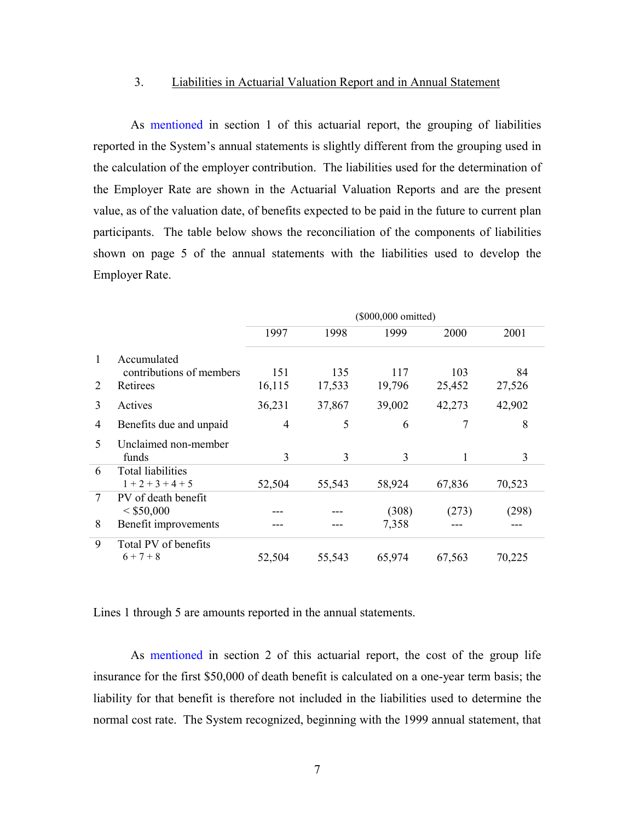#### 3. Liabilities in Actuarial Valuation Report and in Annual Statement

As mentioned in section 1 of this actuarial report, the grouping of liabilities reported in the System's annual statements is slightly different from the grouping used in the calculation of the employer contribution. The liabilities used for the determination of the Employer Rate are shown in the Actuarial Valuation Reports and are the present value, as of the valuation date, of benefits expected to be paid in the future to current plan participants. The table below shows the reconciliation of the components of liabilities shown on page 5 of the annual statements with the liabilities used to develop the Employer Rate.

|               |                                                 |        |        | (\$000,000 omitted) |        |        |
|---------------|-------------------------------------------------|--------|--------|---------------------|--------|--------|
|               |                                                 | 1997   | 1998   | 1999                | 2000   | 2001   |
| 1             | Accumulated<br>contributions of members         | 151    | 135    | 117                 | 103    | 84     |
| 2             | Retirees                                        | 16,115 | 17,533 | 19,796              | 25,452 | 27,526 |
| 3             | Actives                                         | 36,231 | 37,867 | 39,002              | 42,273 | 42,902 |
| 4             | Benefits due and unpaid                         | 4      | 5      | 6                   | 7      | 8      |
| $\mathcal{F}$ | Unclaimed non-member<br>funds                   | 3      | 3      | 3                   | 1      | 3      |
| 6             | <b>Total liabilities</b><br>$1 + 2 + 3 + 4 + 5$ | 52,504 | 55,543 | 58,924              | 67,836 | 70,523 |
| 7             | PV of death benefit<br>< \$50,000               |        |        | (308)               | (273)  | (298)  |
| 8             | Benefit improvements                            |        |        | 7,358               |        |        |
| 9             | Total PV of benefits<br>$6 + 7 + 8$             | 52,504 | 55,543 | 65,974              | 67,563 | 70,225 |

Lines 1 through 5 are amounts reported in the annual statements.

As mentioned in section 2 of this actuarial report, the cost of the group life insurance for the first \$50,000 of death benefit is calculated on a one-year term basis; the liability for that benefit is therefore not included in the liabilities used to determine the normal cost rate. The System recognized, beginning with the 1999 annual statement, that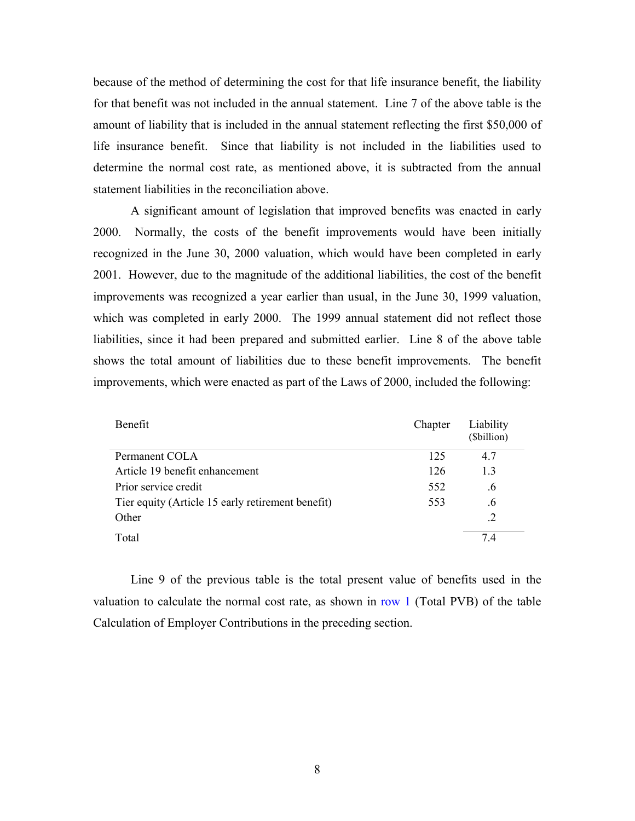because of the method of determining the cost for that life insurance benefit, the liability for that benefit was not included in the annual statement. Line 7 of the above table is the amount of liability that is included in the annual statement reflecting the first \$50,000 of life insurance benefit. Since that liability is not included in the liabilities used to determine the normal cost rate, as mentioned above, it is subtracted from the annual statement liabilities in the reconciliation above.

A significant amount of legislation that improved benefits was enacted in early 2000. Normally, the costs of the benefit improvements would have been initially recognized in the June 30, 2000 valuation, which would have been completed in early 2001. However, due to the magnitude of the additional liabilities, the cost of the benefit improvements was recognized a year earlier than usual, in the June 30, 1999 valuation, which was completed in early 2000. The 1999 annual statement did not reflect those liabilities, since it had been prepared and submitted earlier. Line 8 of the above table shows the total amount of liabilities due to these benefit improvements. The benefit improvements, which were enacted as part of the Laws of 2000, included the following:

| <b>Benefit</b>                                    | Chapter | Liability<br>(\$billion) |
|---------------------------------------------------|---------|--------------------------|
| Permanent COLA                                    | 125     | 47                       |
| Article 19 benefit enhancement                    | 126     | 13                       |
| Prior service credit                              | 552     | .6                       |
| Tier equity (Article 15 early retirement benefit) | 553     | .6                       |
| Other                                             |         | .2                       |
| Total                                             |         | 74                       |

Line 9 of the previous table is the total present value of benefits used in the valuation to calculate the normal cost rate, as shown in row 1 (Total PVB) of the table Calculation of Employer Contributions in the preceding section.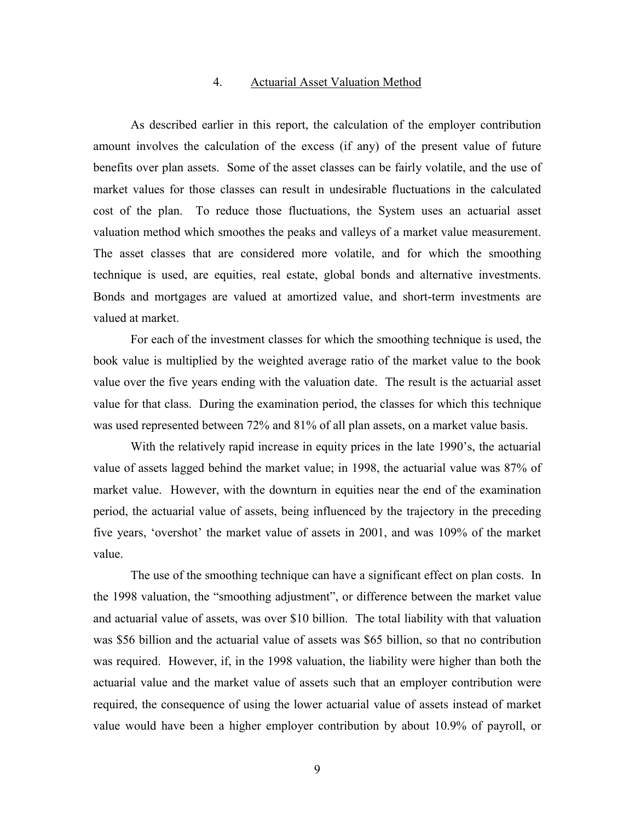#### 4. Actuarial Asset Valuation Method

As described earlier in this report, the calculation of the employer contribution amount involves the calculation of the excess (if any) of the present value of future benefits over plan assets. Some of the asset classes can be fairly volatile, and the use of market values for those classes can result in undesirable fluctuations in the calculated cost of the plan. To reduce those fluctuations, the System uses an actuarial asset valuation method which smoothes the peaks and valleys of a market value measurement. The asset classes that are considered more volatile, and for which the smoothing technique is used, are equities, real estate, global bonds and alternative investments. Bonds and mortgages are valued at amortized value, and short-term investments are valued at market.

For each of the investment classes for which the smoothing technique is used, the book value is multiplied by the weighted average ratio of the market value to the book value over the five years ending with the valuation date. The result is the actuarial asset value for that class. During the examination period, the classes for which this technique was used represented between 72% and 81% of all plan assets, on a market value basis.

With the relatively rapid increase in equity prices in the late 1990's, the actuarial value of assets lagged behind the market value; in 1998, the actuarial value was 87% of market value. However, with the downturn in equities near the end of the examination period, the actuarial value of assets, being influenced by the trajectory in the preceding five years, 'overshot' the market value of assets in 2001, and was 109% of the market value.

The use of the smoothing technique can have a significant effect on plan costs. In the 1998 valuation, the "smoothing adjustment", or difference between the market value and actuarial value of assets, was over \$10 billion. The total liability with that valuation was \$56 billion and the actuarial value of assets was \$65 billion, so that no contribution was required. However, if, in the 1998 valuation, the liability were higher than both the actuarial value and the market value of assets such that an employer contribution were required, the consequence of using the lower actuarial value of assets instead of market value would have been a higher employer contribution by about 10.9% of payroll, or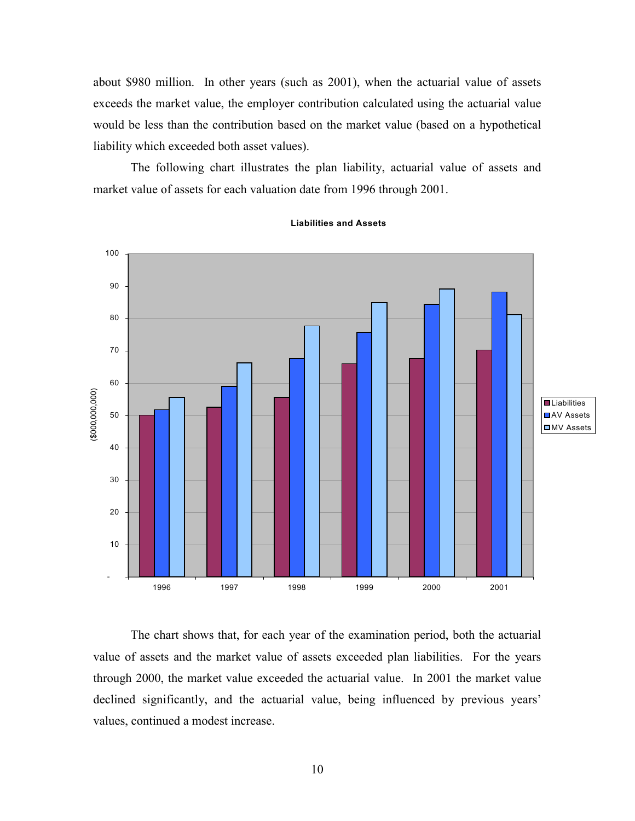about \$980 million. In other years (such as 2001), when the actuarial value of assets exceeds the market value, the employer contribution calculated using the actuarial value would be less than the contribution based on the market value (based on a hypothetical liability which exceeded both asset values).

The following chart illustrates the plan liability, actuarial value of assets and market value of assets for each valuation date from 1996 through 2001.



**Liabilities and Assets**

The chart shows that, for each year of the examination period, both the actuarial value of assets and the market value of assets exceeded plan liabilities. For the years through 2000, the market value exceeded the actuarial value. In 2001 the market value declined significantly, and the actuarial value, being influenced by previous years' values, continued a modest increase.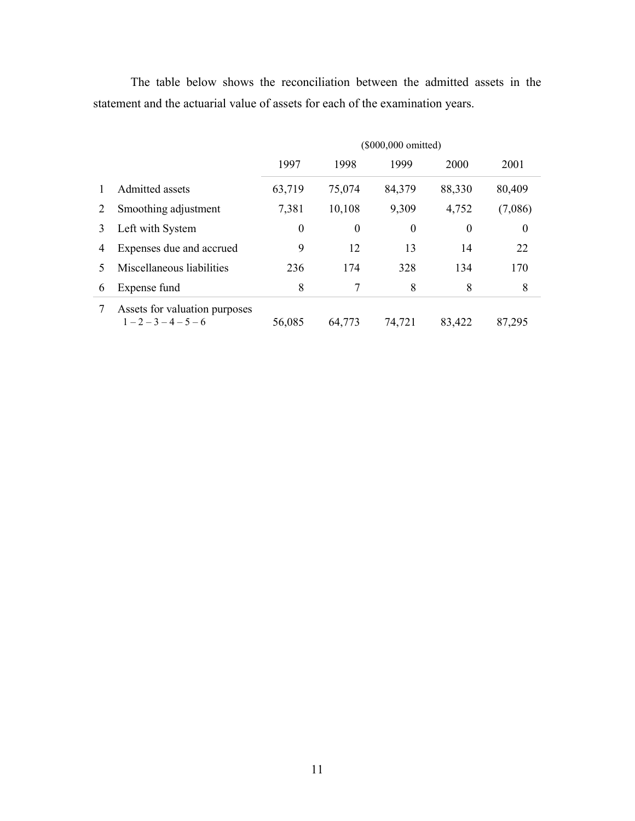The table below shows the reconciliation between the admitted assets in the statement and the actuarial value of assets for each of the examination years.

|   |                                                | (\$000,000 omitted) |                  |                  |                  |         |  |
|---|------------------------------------------------|---------------------|------------------|------------------|------------------|---------|--|
|   |                                                | 1997                | 1998             | 1999             | 2000             | 2001    |  |
|   | Admitted assets                                | 63,719              | 75,074           | 84,379           | 88,330           | 80,409  |  |
| 2 | Smoothing adjustment                           | 7,381               | 10,108           | 9,309            | 4,752            | (7,086) |  |
| 3 | Left with System                               | $\boldsymbol{0}$    | $\boldsymbol{0}$ | $\boldsymbol{0}$ | $\boldsymbol{0}$ | 0       |  |
| 4 | Expenses due and accrued                       | 9                   | 12               | 13               | 14               | 22      |  |
| 5 | Miscellaneous liabilities                      | 236                 | 174              | 328              | 134              | 170     |  |
| 6 | Expense fund                                   | 8                   | 7                | 8                | 8                | 8       |  |
|   | Assets for valuation purposes<br>$1-2-3-4-5-6$ | 56,085              | 64,773           | 74,721           | 83,422           | 87,295  |  |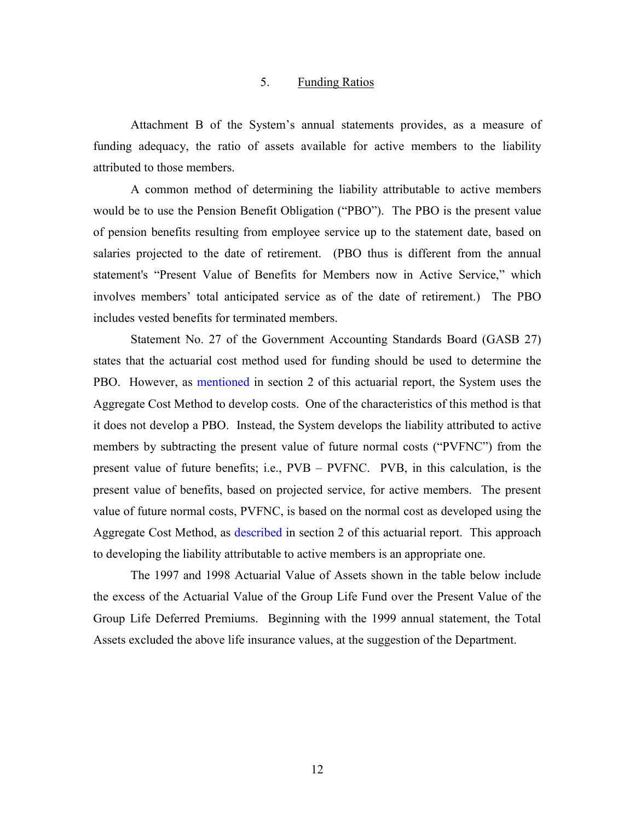#### 5. Funding Ratios

Attachment B of the System's annual statements provides, as a measure of funding adequacy, the ratio of assets available for active members to the liability attributed to those members.

A common method of determining the liability attributable to active members would be to use the Pension Benefit Obligation ("PBO"). The PBO is the present value of pension benefits resulting from employee service up to the statement date, based on salaries projected to the date of retirement. (PBO thus is different from the annual statement's "Present Value of Benefits for Members now in Active Service," which involves members' total anticipated service as of the date of retirement.) The PBO includes vested benefits for terminated members.

Statement No. 27 of the Government Accounting Standards Board (GASB 27) states that the actuarial cost method used for funding should be used to determine the PBO. However, as mentioned in section 2 of this actuarial report, the System uses the Aggregate Cost Method to develop costs. One of the characteristics of this method is that it does not develop a PBO. Instead, the System develops the liability attributed to active members by subtracting the present value of future normal costs ("PVFNC") from the present value of future benefits; i.e., PVB – PVFNC. PVB, in this calculation, is the present value of benefits, based on projected service, for active members. The present value of future normal costs, PVFNC, is based on the normal cost as developed using the Aggregate Cost Method, as described in section 2 of this actuarial report. This approach to developing the liability attributable to active members is an appropriate one.

The 1997 and 1998 Actuarial Value of Assets shown in the table below include the excess of the Actuarial Value of the Group Life Fund over the Present Value of the Group Life Deferred Premiums. Beginning with the 1999 annual statement, the Total Assets excluded the above life insurance values, at the suggestion of the Department.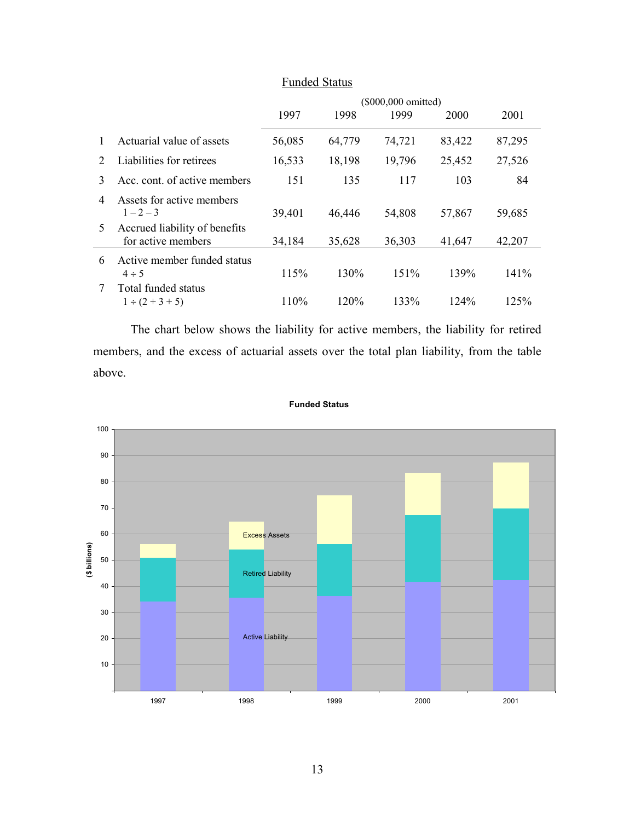|               |                                                     | (\$000,000 omitted) |        |        |        |        |
|---------------|-----------------------------------------------------|---------------------|--------|--------|--------|--------|
|               |                                                     | 1997                | 1998   | 1999   | 2000   | 2001   |
|               | Actuarial value of assets                           | 56,085              | 64,779 | 74,721 | 83,422 | 87,295 |
| $\mathcal{L}$ | Liabilities for retirees                            | 16,533              | 18,198 | 19,796 | 25,452 | 27,526 |
| 3             | Acc. cont. of active members                        | 151                 | 135    | 117    | 103    | 84     |
| 4             | Assets for active members<br>$1 - 2 - 3$            | 39,401              | 46,446 | 54,808 | 57,867 | 59,685 |
| 5             | Accrued liability of benefits<br>for active members | 34,184              | 35,628 | 36,303 | 41,647 | 42,207 |
| 6             | Active member funded status<br>$4 \div 5$           | 115%                | 130%   | 151%   | 139%   | 141%   |
|               | Total funded status<br>$1 \div (2 + 3 + 5)$         | 110%                | 120%   | 133%   | 124%   | 125%   |

## Funded Status

The chart below shows the liability for active members, the liability for retired members, and the excess of actuarial assets over the total plan liability, from the table above.



#### **Funded Status**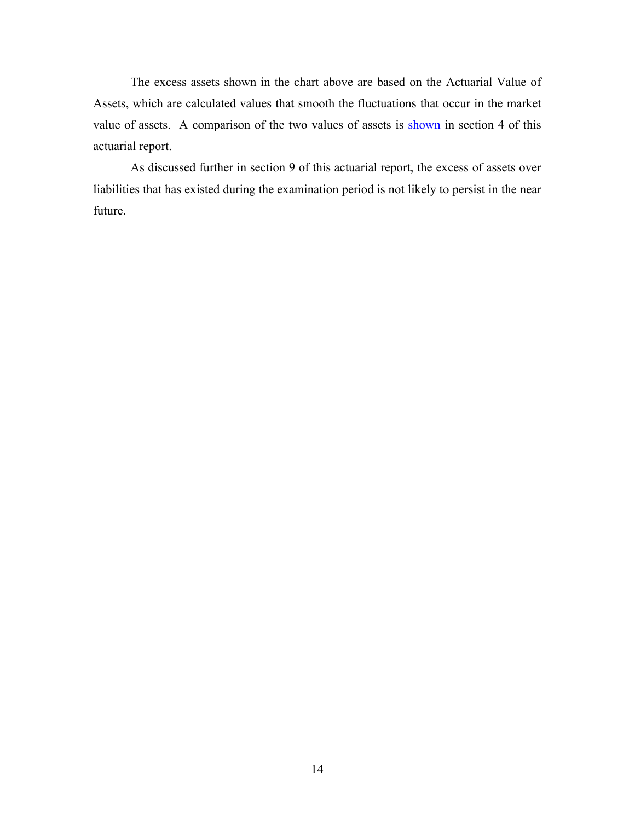The excess assets shown in the chart above are based on the Actuarial Value of Assets, which are calculated values that smooth the fluctuations that occur in the market value of assets. A comparison of the two values of assets is shown in section 4 of this actuarial report.

As discussed further in section 9 of this actuarial report, the excess of assets over liabilities that has existed during the examination period is not likely to persist in the near future.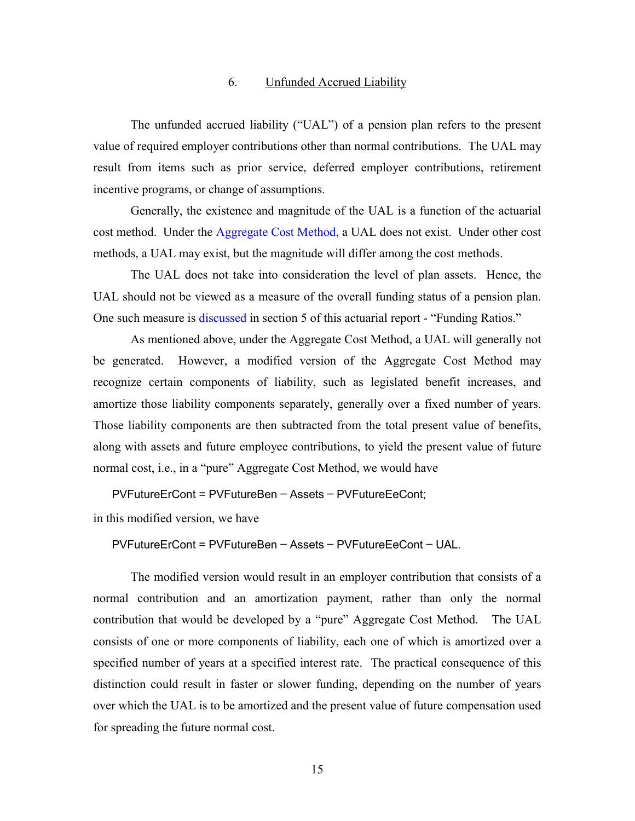#### 6. Unfunded Accrued Liability

The unfunded accrued liability ("UAL") of a pension plan refers to the present value of required employer contributions other than normal contributions. The UAL may result from items such as prior service, deferred employer contributions, retirement incentive programs, or change of assumptions.

Generally, the existence and magnitude of the UAL is a function of the actuarial cost method. Under the Aggregate Cost Method, a UAL does not exist. Under other cost methods, a UAL may exist, but the magnitude will differ among the cost methods.

The UAL does not take into consideration the level of plan assets. Hence, the UAL should not be viewed as a measure of the overall funding status of a pension plan. One such measure is discussed in section 5 of this actuarial report - "Funding Ratios."

As mentioned above, under the Aggregate Cost Method, a UAL will generally not be generated. However, a modified version of the Aggregate Cost Method may recognize certain components of liability, such as legislated benefit increases, and amortize those liability components separately, generally over a fixed number of years. Those liability components are then subtracted from the total present value of benefits, along with assets and future employee contributions, to yield the present value of future normal cost, i.e., in a "pure" Aggregate Cost Method, we would have

PVFutureErCont = PVFutureBen – Assets – PVFutureEeCont;

in this modified version, we have

```
PVFutureErCont = PVFutureBen – Assets – PVFutureEeCont – UAL.
```
The modified version would result in an employer contribution that consists of a normal contribution and an amortization payment, rather than only the normal contribution that would be developed by a "pure" Aggregate Cost Method. The UAL consists of one or more components of liability, each one of which is amortized over a specified number of years at a specified interest rate. The practical consequence of this distinction could result in faster or slower funding, depending on the number of years over which the UAL is to be amortized and the present value of future compensation used for spreading the future normal cost.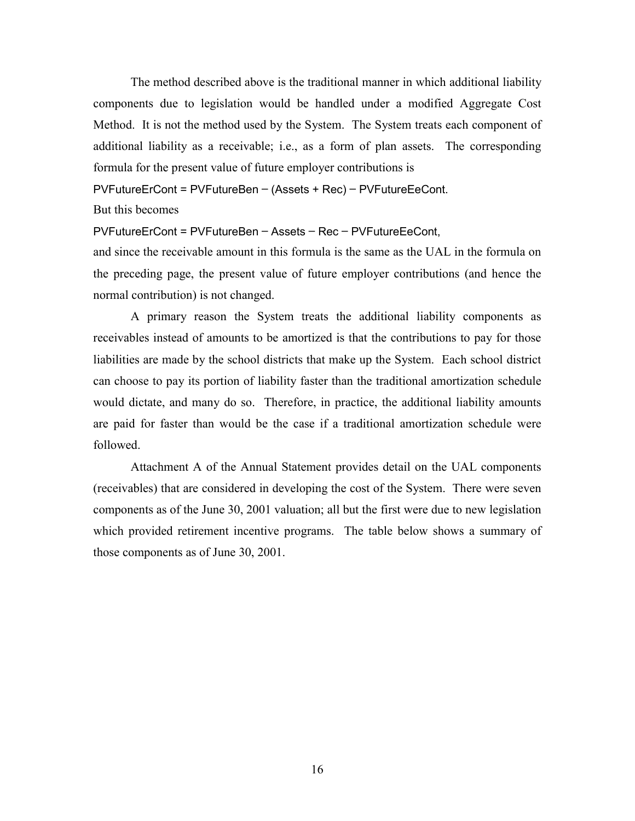The method described above is the traditional manner in which additional liability components due to legislation would be handled under a modified Aggregate Cost Method. It is not the method used by the System. The System treats each component of additional liability as a receivable; i.e., as a form of plan assets. The corresponding formula for the present value of future employer contributions is

PVFutureErCont = PVFutureBen – (Assets + Rec) – PVFutureEeCont.

But this becomes

PVFutureErCont = PVFutureBen – Assets – Rec – PVFutureEeCont,

and since the receivable amount in this formula is the same as the UAL in the formula on the preceding page, the present value of future employer contributions (and hence the normal contribution) is not changed.

A primary reason the System treats the additional liability components as receivables instead of amounts to be amortized is that the contributions to pay for those liabilities are made by the school districts that make up the System. Each school district can choose to pay its portion of liability faster than the traditional amortization schedule would dictate, and many do so. Therefore, in practice, the additional liability amounts are paid for faster than would be the case if a traditional amortization schedule were followed.

Attachment A of the Annual Statement provides detail on the UAL components (receivables) that are considered in developing the cost of the System. There were seven components as of the June 30, 2001 valuation; all but the first were due to new legislation which provided retirement incentive programs. The table below shows a summary of those components as of June 30, 2001.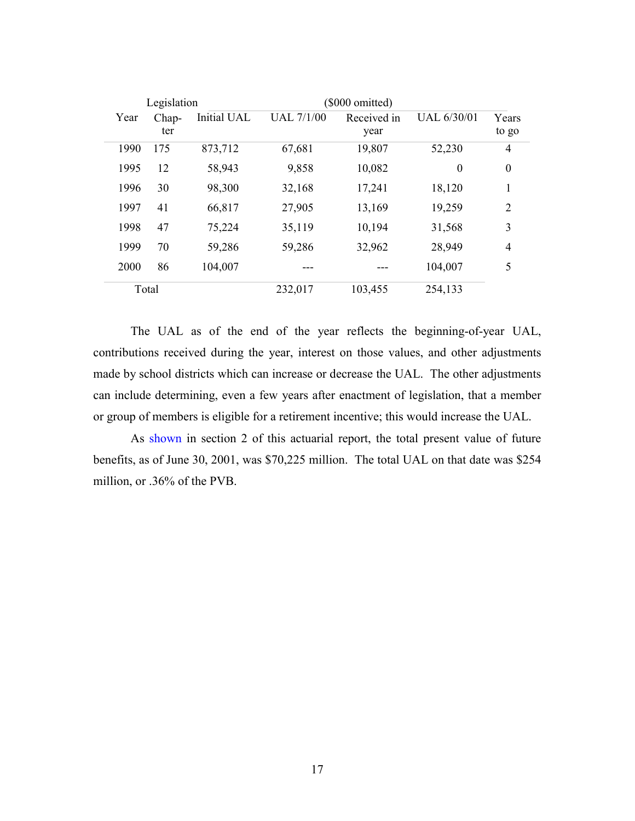| Legislation |       |             | $(\$000$ omitted) |             |             |                  |
|-------------|-------|-------------|-------------------|-------------|-------------|------------------|
| Year        | Chap- | Initial UAL | <b>UAL 7/1/00</b> | Received in | UAL 6/30/01 | Years            |
|             | ter   |             |                   | year        |             | to go            |
| 1990        | 175   | 873,712     | 67,681            | 19,807      | 52,230      | 4                |
| 1995        | 12    | 58,943      | 9,858             | 10,082      | $\theta$    | $\boldsymbol{0}$ |
| 1996        | 30    | 98,300      | 32,168            | 17,241      | 18,120      | 1                |
| 1997        | 41    | 66,817      | 27,905            | 13,169      | 19,259      | $\overline{2}$   |
| 1998        | 47    | 75,224      | 35,119            | 10,194      | 31,568      | 3                |
| 1999        | 70    | 59,286      | 59,286            | 32,962      | 28,949      | $\overline{4}$   |
| 2000        | 86    | 104,007     |                   |             | 104,007     | 5                |
|             | Total |             | 232,017           | 103,455     | 254,133     |                  |

The UAL as of the end of the year reflects the beginning-of-year UAL, contributions received during the year, interest on those values, and other adjustments made by school districts which can increase or decrease the UAL. The other adjustments can include determining, even a few years after enactment of legislation, that a member or group of members is eligible for a retirement incentive; this would increase the UAL.

As shown in section 2 of this actuarial report, the total present value of future benefits, as of June 30, 2001, was \$70,225 million. The total UAL on that date was \$254 million, or .36% of the PVB.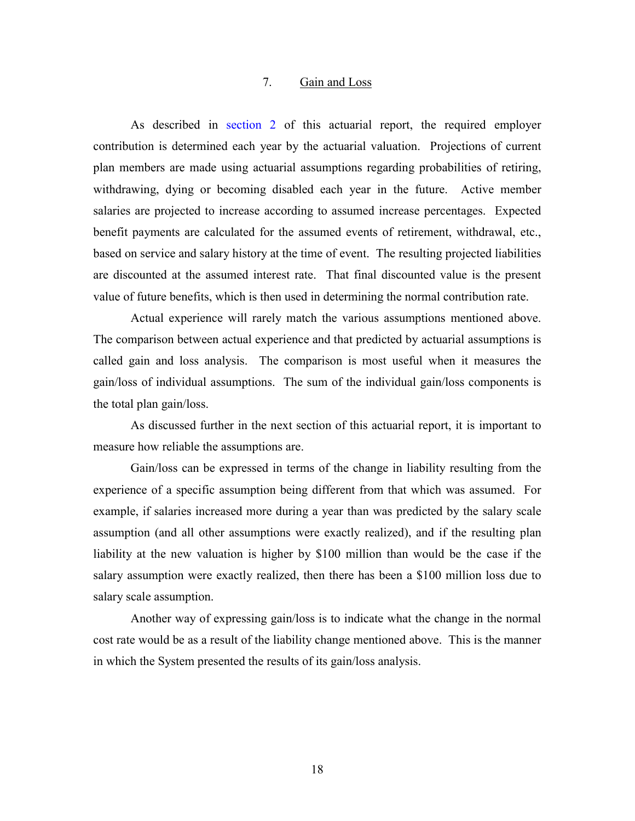#### 7. Gain and Loss

As described in section 2 of this actuarial report, the required employer contribution is determined each year by the actuarial valuation. Projections of current plan members are made using actuarial assumptions regarding probabilities of retiring, withdrawing, dying or becoming disabled each year in the future. Active member salaries are projected to increase according to assumed increase percentages. Expected benefit payments are calculated for the assumed events of retirement, withdrawal, etc., based on service and salary history at the time of event. The resulting projected liabilities are discounted at the assumed interest rate. That final discounted value is the present value of future benefits, which is then used in determining the normal contribution rate.

Actual experience will rarely match the various assumptions mentioned above. The comparison between actual experience and that predicted by actuarial assumptions is called gain and loss analysis. The comparison is most useful when it measures the gain/loss of individual assumptions. The sum of the individual gain/loss components is the total plan gain/loss.

As discussed further in the next section of this actuarial report, it is important to measure how reliable the assumptions are.

Gain/loss can be expressed in terms of the change in liability resulting from the experience of a specific assumption being different from that which was assumed. For example, if salaries increased more during a year than was predicted by the salary scale assumption (and all other assumptions were exactly realized), and if the resulting plan liability at the new valuation is higher by \$100 million than would be the case if the salary assumption were exactly realized, then there has been a \$100 million loss due to salary scale assumption.

Another way of expressing gain/loss is to indicate what the change in the normal cost rate would be as a result of the liability change mentioned above. This is the manner in which the System presented the results of its gain/loss analysis.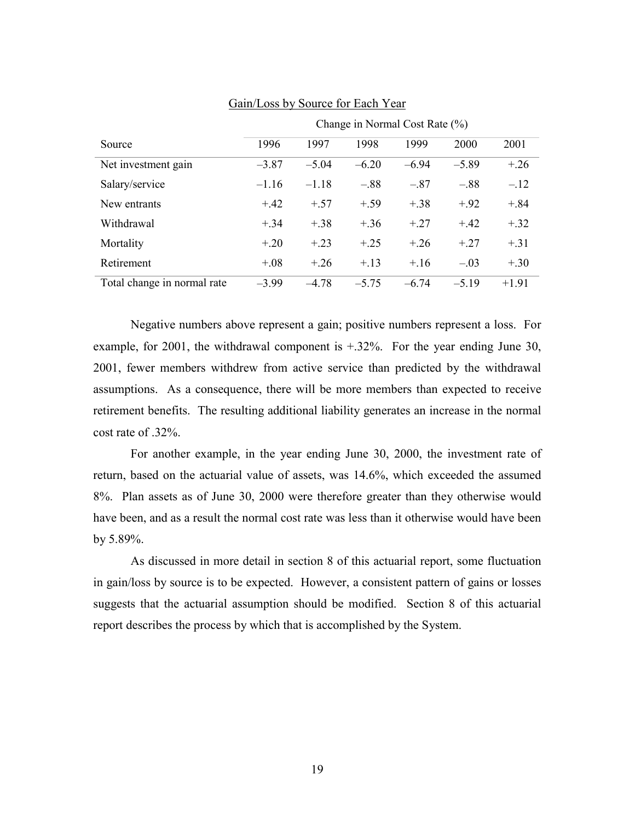|                             | Change in Normal Cost Rate (%) |         |         |         |         |         |
|-----------------------------|--------------------------------|---------|---------|---------|---------|---------|
| Source                      | 1996                           | 1997    | 1998    | 1999    | 2000    | 2001    |
| Net investment gain         | $-3.87$                        | $-5.04$ | $-6.20$ | $-6.94$ | $-5.89$ | $+.26$  |
| Salary/service              | $-1.16$                        | $-1.18$ | $-.88$  | $-.87$  | $-.88$  | $-.12$  |
| New entrants                | $+.42$                         | $+.57$  | $+.59$  | $+.38$  | $+92$   | $+.84$  |
| Withdrawal                  | $+.34$                         | $+.38$  | $+.36$  | $+27$   | $+42$   | $+.32$  |
| Mortality                   | $+.20$                         | $+.23$  | $+.25$  | $+26$   | $+27$   | $+.31$  |
| Retirement                  | $+.08$                         | $+.26$  | $+.13$  | $+.16$  | $-.03$  | $+.30$  |
| Total change in normal rate | $-3.99$                        | $-478$  | $-5.75$ | $-6.74$ | $-5.19$ | $+1.91$ |

#### Gain/Loss by Source for Each Year

Negative numbers above represent a gain; positive numbers represent a loss. For example, for 2001, the withdrawal component is +.32%. For the year ending June 30, 2001, fewer members withdrew from active service than predicted by the withdrawal assumptions. As a consequence, there will be more members than expected to receive retirement benefits. The resulting additional liability generates an increase in the normal cost rate of .32%.

For another example, in the year ending June 30, 2000, the investment rate of return, based on the actuarial value of assets, was 14.6%, which exceeded the assumed 8%. Plan assets as of June 30, 2000 were therefore greater than they otherwise would have been, and as a result the normal cost rate was less than it otherwise would have been by 5.89%.

As discussed in more detail in section 8 of this actuarial report, some fluctuation in gain/loss by source is to be expected. However, a consistent pattern of gains or losses suggests that the actuarial assumption should be modified. Section 8 of this actuarial report describes the process by which that is accomplished by the System.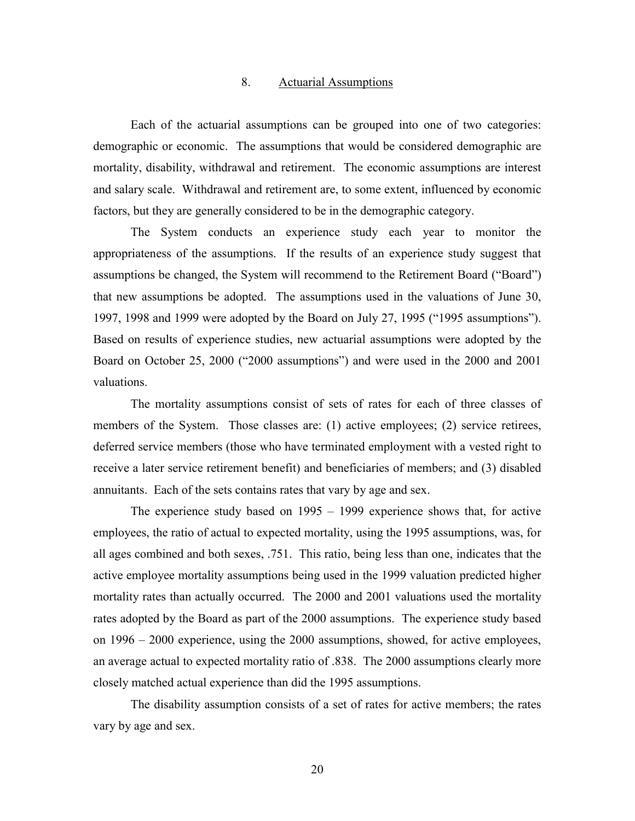#### 8. Actuarial Assumptions

Each of the actuarial assumptions can be grouped into one of two categories: demographic or economic. The assumptions that would be considered demographic are mortality, disability, withdrawal and retirement. The economic assumptions are interest and salary scale. Withdrawal and retirement are, to some extent, influenced by economic factors, but they are generally considered to be in the demographic category.

The System conducts an experience study each year to monitor the appropriateness of the assumptions. If the results of an experience study suggest that assumptions be changed, the System will recommend to the Retirement Board ("Board") that new assumptions be adopted. The assumptions used in the valuations of June 30, 1997, 1998 and 1999 were adopted by the Board on July 27, 1995 ("1995 assumptions"). Based on results of experience studies, new actuarial assumptions were adopted by the Board on October 25, 2000 ("2000 assumptions") and were used in the 2000 and 2001 valuations.

The mortality assumptions consist of sets of rates for each of three classes of members of the System. Those classes are: (1) active employees; (2) service retirees, deferred service members (those who have terminated employment with a vested right to receive a later service retirement benefit) and beneficiaries of members; and (3) disabled annuitants. Each of the sets contains rates that vary by age and sex.

The experience study based on 1995 – 1999 experience shows that, for active employees, the ratio of actual to expected mortality, using the 1995 assumptions, was, for all ages combined and both sexes, .751. This ratio, being less than one, indicates that the active employee mortality assumptions being used in the 1999 valuation predicted higher mortality rates than actually occurred. The 2000 and 2001 valuations used the mortality rates adopted by the Board as part of the 2000 assumptions. The experience study based on 1996 – 2000 experience, using the 2000 assumptions, showed, for active employees, an average actual to expected mortality ratio of .838. The 2000 assumptions clearly more closely matched actual experience than did the 1995 assumptions.

The disability assumption consists of a set of rates for active members; the rates vary by age and sex.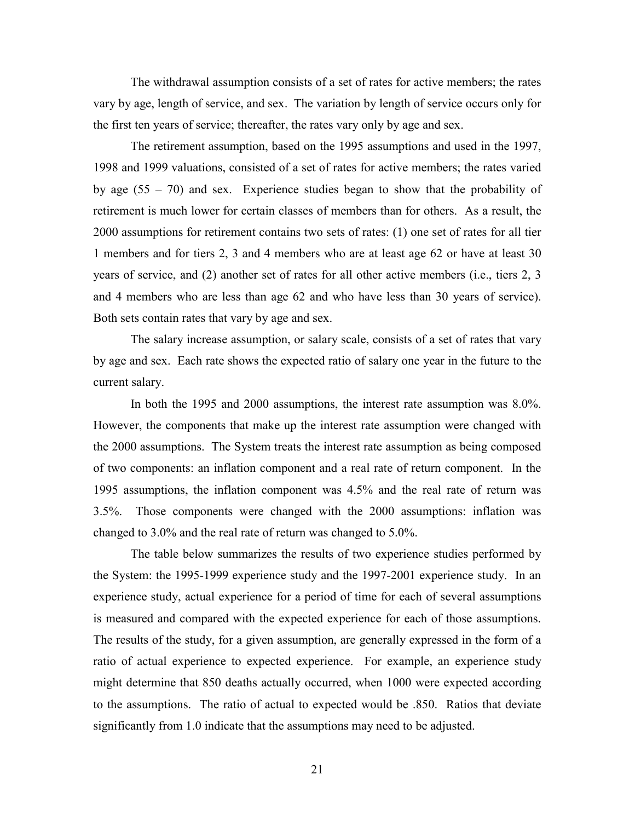The withdrawal assumption consists of a set of rates for active members; the rates vary by age, length of service, and sex. The variation by length of service occurs only for the first ten years of service; thereafter, the rates vary only by age and sex.

The retirement assumption, based on the 1995 assumptions and used in the 1997, 1998 and 1999 valuations, consisted of a set of rates for active members; the rates varied by age  $(55 - 70)$  and sex. Experience studies began to show that the probability of retirement is much lower for certain classes of members than for others. As a result, the 2000 assumptions for retirement contains two sets of rates: (1) one set of rates for all tier 1 members and for tiers 2, 3 and 4 members who are at least age 62 or have at least 30 years of service, and (2) another set of rates for all other active members (i.e., tiers 2, 3 and 4 members who are less than age 62 and who have less than 30 years of service). Both sets contain rates that vary by age and sex.

The salary increase assumption, or salary scale, consists of a set of rates that vary by age and sex. Each rate shows the expected ratio of salary one year in the future to the current salary.

In both the 1995 and 2000 assumptions, the interest rate assumption was 8.0%. However, the components that make up the interest rate assumption were changed with the 2000 assumptions. The System treats the interest rate assumption as being composed of two components: an inflation component and a real rate of return component. In the 1995 assumptions, the inflation component was 4.5% and the real rate of return was 3.5%. Those components were changed with the 2000 assumptions: inflation was changed to 3.0% and the real rate of return was changed to 5.0%.

The table below summarizes the results of two experience studies performed by the System: the 1995-1999 experience study and the 1997-2001 experience study. In an experience study, actual experience for a period of time for each of several assumptions is measured and compared with the expected experience for each of those assumptions. The results of the study, for a given assumption, are generally expressed in the form of a ratio of actual experience to expected experience. For example, an experience study might determine that 850 deaths actually occurred, when 1000 were expected according to the assumptions. The ratio of actual to expected would be .850. Ratios that deviate significantly from 1.0 indicate that the assumptions may need to be adjusted.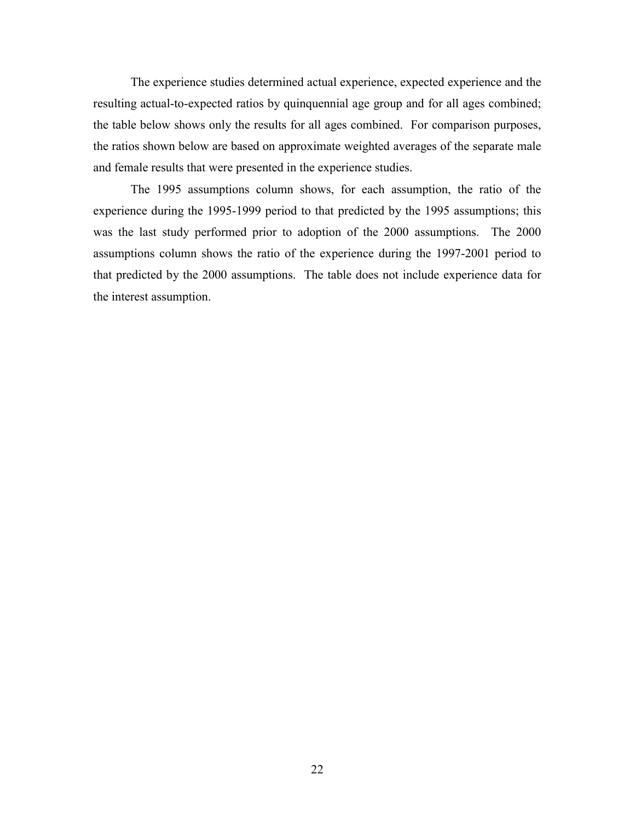The experience studies determined actual experience, expected experience and the resulting actual-to-expected ratios by quinquennial age group and for all ages combined; the table below shows only the results for all ages combined. For comparison purposes, the ratios shown below are based on approximate weighted averages of the separate male and female results that were presented in the experience studies.

The 1995 assumptions column shows, for each assumption, the ratio of the experience during the 1995-1999 period to that predicted by the 1995 assumptions; this was the last study performed prior to adoption of the 2000 assumptions. The 2000 assumptions column shows the ratio of the experience during the 1997-2001 period to that predicted by the 2000 assumptions. The table does not include experience data for the interest assumption.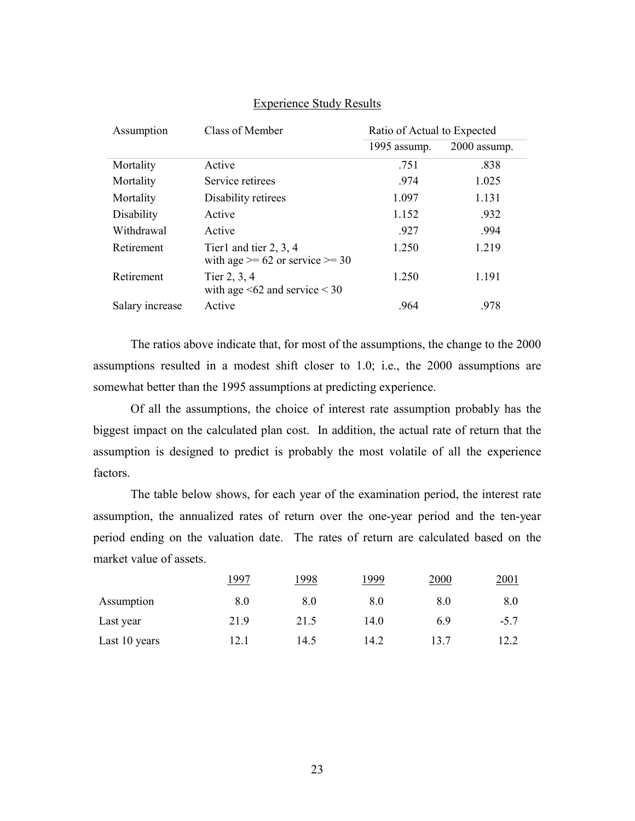| Assumption      | Class of Member                                                 | Ratio of Actual to Expected |              |  |  |
|-----------------|-----------------------------------------------------------------|-----------------------------|--------------|--|--|
|                 |                                                                 | 1995 assump.                | 2000 assump. |  |  |
| Mortality       | Active                                                          | .751                        | .838         |  |  |
| Mortality       | Service retirees                                                | .974                        | 1.025        |  |  |
| Mortality       | Disability retirees                                             | 1.097                       | 1.131        |  |  |
| Disability      | Active                                                          | 1.152                       | .932         |  |  |
| Withdrawal      | Active                                                          | .927                        | .994         |  |  |
| Retirement      | Tier1 and tier $2, 3, 4$<br>with age $>= 62$ or service $>= 30$ | 1.250                       | 1.219        |  |  |
| Retirement      | Tier 2, 3, 4<br>with age $\leq 62$ and service $\leq 30$        | 1.250                       | 1.191        |  |  |
| Salary increase | Active                                                          | .964                        | .978         |  |  |

#### Experience Study Results

The ratios above indicate that, for most of the assumptions, the change to the 2000 assumptions resulted in a modest shift closer to 1.0; i.e., the 2000 assumptions are somewhat better than the 1995 assumptions at predicting experience.

Of all the assumptions, the choice of interest rate assumption probably has the biggest impact on the calculated plan cost. In addition, the actual rate of return that the assumption is designed to predict is probably the most volatile of all the experience factors.

The table below shows, for each year of the examination period, the interest rate assumption, the annualized rates of return over the one-year period and the ten-year period ending on the valuation date. The rates of return are calculated based on the market value of assets.

|               | .997 | 1998 | 1999 | 2000 | 2001   |
|---------------|------|------|------|------|--------|
| Assumption    | 8.0  | 8.0  | 8.0  | 8.0  | 8.0    |
| Last year     | 21.9 | 21.5 | 14.0 | 6.9  | $-5.7$ |
| Last 10 years | 12.1 | 14.5 | 14.2 | 13.7 | 12.2   |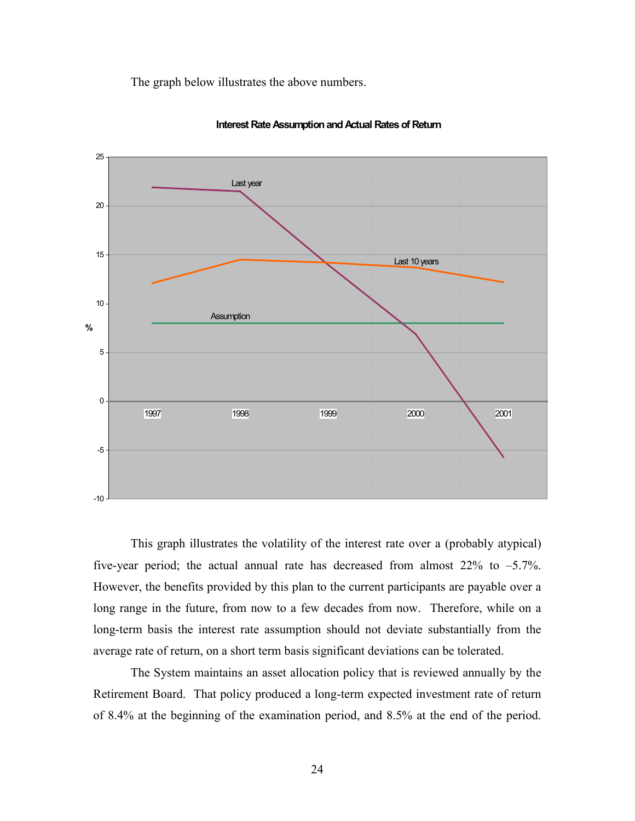The graph below illustrates the above numbers.





This graph illustrates the volatility of the interest rate over a (probably atypical) five-year period; the actual annual rate has decreased from almost  $22\%$  to  $-5.7\%$ . However, the benefits provided by this plan to the current participants are payable over a long range in the future, from now to a few decades from now. Therefore, while on a long-term basis the interest rate assumption should not deviate substantially from the average rate of return, on a short term basis significant deviations can be tolerated.

The System maintains an asset allocation policy that is reviewed annually by the Retirement Board. That policy produced a long-term expected investment rate of return of 8.4% at the beginning of the examination period, and 8.5% at the end of the period.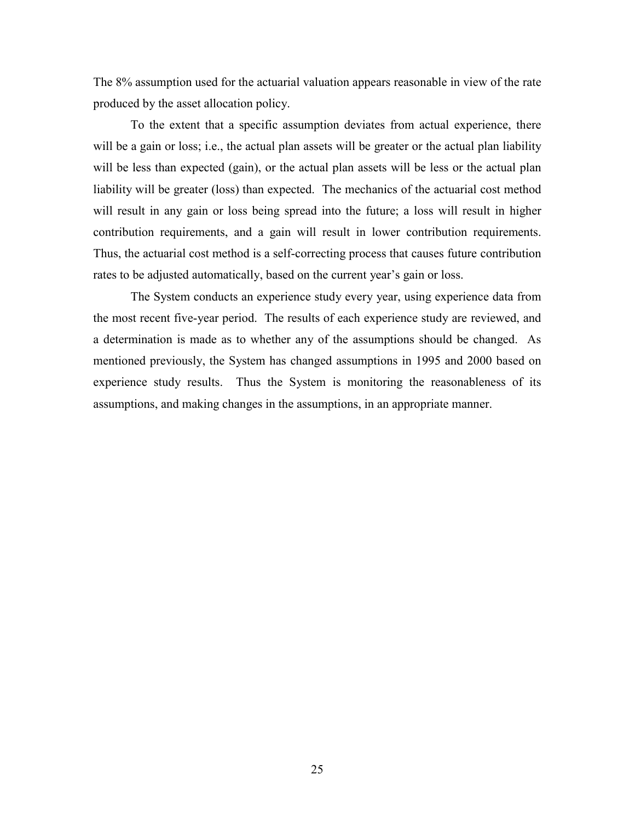The 8% assumption used for the actuarial valuation appears reasonable in view of the rate produced by the asset allocation policy.

To the extent that a specific assumption deviates from actual experience, there will be a gain or loss; i.e., the actual plan assets will be greater or the actual plan liability will be less than expected (gain), or the actual plan assets will be less or the actual plan liability will be greater (loss) than expected. The mechanics of the actuarial cost method will result in any gain or loss being spread into the future; a loss will result in higher contribution requirements, and a gain will result in lower contribution requirements. Thus, the actuarial cost method is a self-correcting process that causes future contribution rates to be adjusted automatically, based on the current year's gain or loss.

The System conducts an experience study every year, using experience data from the most recent five-year period. The results of each experience study are reviewed, and a determination is made as to whether any of the assumptions should be changed. As mentioned previously, the System has changed assumptions in 1995 and 2000 based on experience study results. Thus the System is monitoring the reasonableness of its assumptions, and making changes in the assumptions, in an appropriate manner.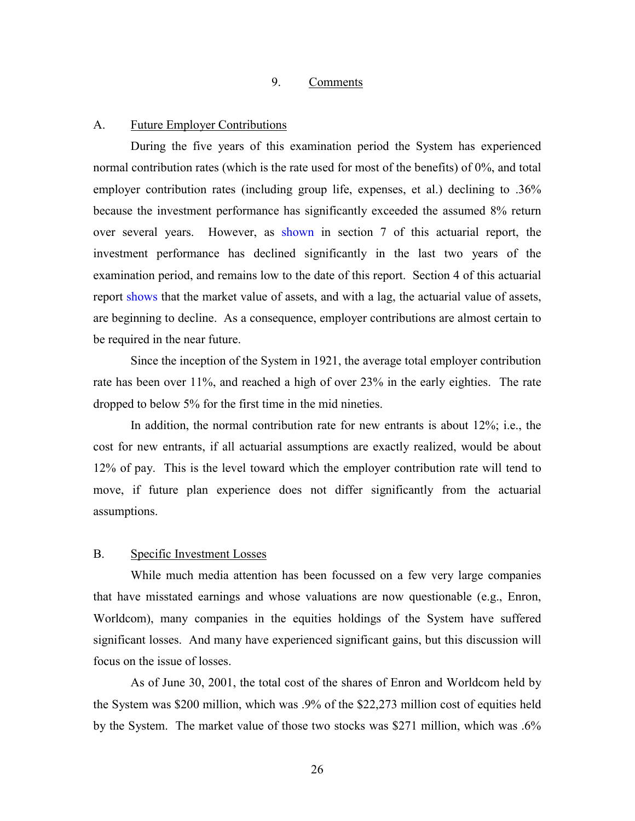#### 9. Comments

#### A. Future Employer Contributions

During the five years of this examination period the System has experienced normal contribution rates (which is the rate used for most of the benefits) of 0%, and total employer contribution rates (including group life, expenses, et al.) declining to .36% because the investment performance has significantly exceeded the assumed 8% return over several years. However, as shown in section 7 of this actuarial report, the investment performance has declined significantly in the last two years of the examination period, and remains low to the date of this report. Section 4 of this actuarial report shows that the market value of assets, and with a lag, the actuarial value of assets, are beginning to decline. As a consequence, employer contributions are almost certain to be required in the near future.

Since the inception of the System in 1921, the average total employer contribution rate has been over 11%, and reached a high of over 23% in the early eighties. The rate dropped to below 5% for the first time in the mid nineties.

In addition, the normal contribution rate for new entrants is about 12%; i.e., the cost for new entrants, if all actuarial assumptions are exactly realized, would be about 12% of pay. This is the level toward which the employer contribution rate will tend to move, if future plan experience does not differ significantly from the actuarial assumptions.

## B. Specific Investment Losses

While much media attention has been focussed on a few very large companies that have misstated earnings and whose valuations are now questionable (e.g., Enron, Worldcom), many companies in the equities holdings of the System have suffered significant losses. And many have experienced significant gains, but this discussion will focus on the issue of losses.

As of June 30, 2001, the total cost of the shares of Enron and Worldcom held by the System was \$200 million, which was .9% of the \$22,273 million cost of equities held by the System. The market value of those two stocks was \$271 million, which was .6%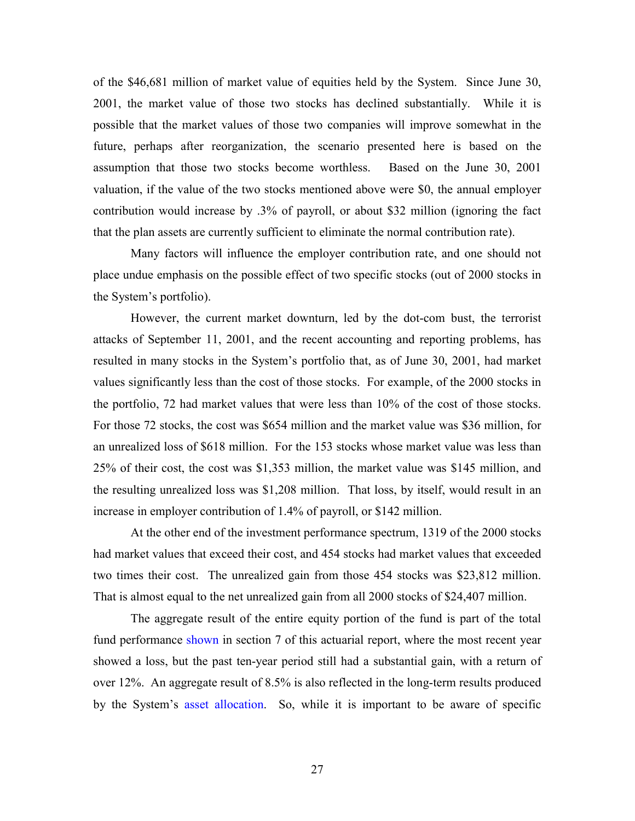of the \$46,681 million of market value of equities held by the System. Since June 30, 2001, the market value of those two stocks has declined substantially. While it is possible that the market values of those two companies will improve somewhat in the future, perhaps after reorganization, the scenario presented here is based on the assumption that those two stocks become worthless. Based on the June 30, 2001 valuation, if the value of the two stocks mentioned above were \$0, the annual employer contribution would increase by .3% of payroll, or about \$32 million (ignoring the fact that the plan assets are currently sufficient to eliminate the normal contribution rate).

Many factors will influence the employer contribution rate, and one should not place undue emphasis on the possible effect of two specific stocks (out of 2000 stocks in the System's portfolio).

However, the current market downturn, led by the dot-com bust, the terrorist attacks of September 11, 2001, and the recent accounting and reporting problems, has resulted in many stocks in the System's portfolio that, as of June 30, 2001, had market values significantly less than the cost of those stocks. For example, of the 2000 stocks in the portfolio, 72 had market values that were less than 10% of the cost of those stocks. For those 72 stocks, the cost was \$654 million and the market value was \$36 million, for an unrealized loss of \$618 million. For the 153 stocks whose market value was less than 25% of their cost, the cost was \$1,353 million, the market value was \$145 million, and the resulting unrealized loss was \$1,208 million. That loss, by itself, would result in an increase in employer contribution of 1.4% of payroll, or \$142 million.

At the other end of the investment performance spectrum, 1319 of the 2000 stocks had market values that exceed their cost, and 454 stocks had market values that exceeded two times their cost. The unrealized gain from those 454 stocks was \$23,812 million. That is almost equal to the net unrealized gain from all 2000 stocks of \$24,407 million.

The aggregate result of the entire equity portion of the fund is part of the total fund performance shown in section 7 of this actuarial report, where the most recent year showed a loss, but the past ten-year period still had a substantial gain, with a return of over 12%. An aggregate result of 8.5% is also reflected in the long-term results produced by the System's asset allocation. So, while it is important to be aware of specific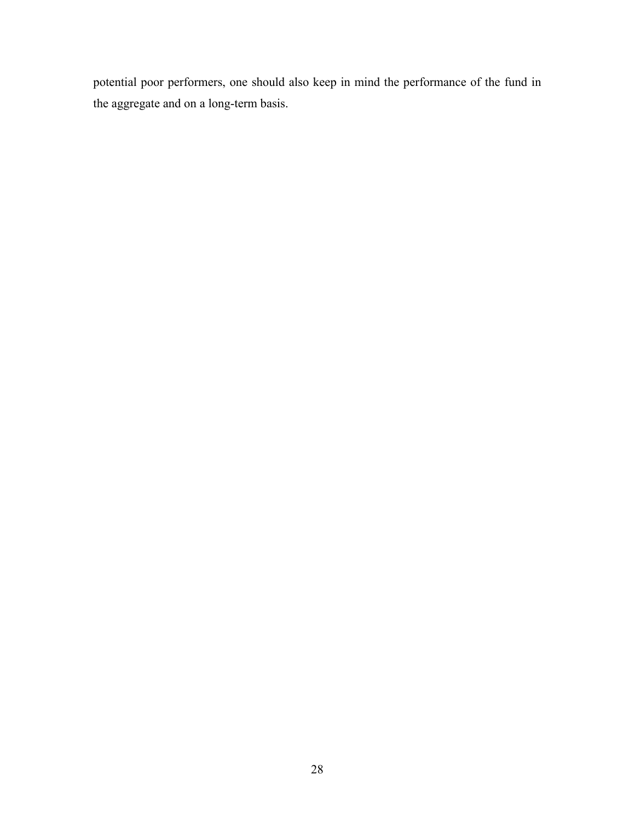potential poor performers, one should also keep in mind the performance of the fund in the aggregate and on a long-term basis.